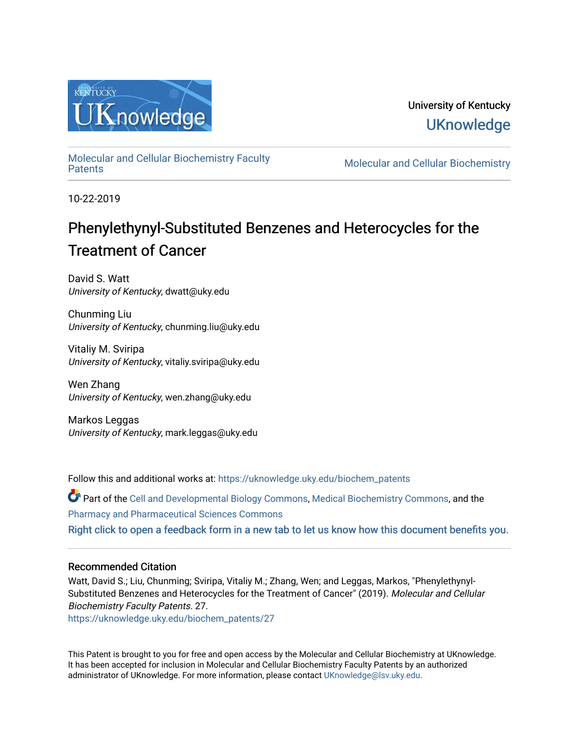

University of Kentucky **UKnowledge** 

[Molecular and Cellular Biochemistry Faculty](https://uknowledge.uky.edu/biochem_patents) 

**Molecular and Cellular Biochemistry** 

10-22-2019

# Phenylethynyl-Substituted Benzenes and Heterocycles for the Treatment of Cancer

David S. Watt University of Kentucky, dwatt@uky.edu

Chunming Liu University of Kentucky, chunming.liu@uky.edu

Vitaliy M. Sviripa University of Kentucky, vitaliy.sviripa@uky.edu

Wen Zhang University of Kentucky, wen.zhang@uky.edu

Markos Leggas University of Kentucky, mark.leggas@uky.edu

Follow this and additional works at: [https://uknowledge.uky.edu/biochem\\_patents](https://uknowledge.uky.edu/biochem_patents?utm_source=uknowledge.uky.edu%2Fbiochem_patents%2F27&utm_medium=PDF&utm_campaign=PDFCoverPages) 

Part of the [Cell and Developmental Biology Commons,](http://network.bepress.com/hgg/discipline/8?utm_source=uknowledge.uky.edu%2Fbiochem_patents%2F27&utm_medium=PDF&utm_campaign=PDFCoverPages) [Medical Biochemistry Commons,](http://network.bepress.com/hgg/discipline/666?utm_source=uknowledge.uky.edu%2Fbiochem_patents%2F27&utm_medium=PDF&utm_campaign=PDFCoverPages) and the [Pharmacy and Pharmaceutical Sciences Commons](http://network.bepress.com/hgg/discipline/731?utm_source=uknowledge.uky.edu%2Fbiochem_patents%2F27&utm_medium=PDF&utm_campaign=PDFCoverPages) [Right click to open a feedback form in a new tab to let us know how this document benefits you.](https://uky.az1.qualtrics.com/jfe/form/SV_9mq8fx2GnONRfz7)

## Recommended Citation

Watt, David S.; Liu, Chunming; Sviripa, Vitaliy M.; Zhang, Wen; and Leggas, Markos, "Phenylethynyl-Substituted Benzenes and Heterocycles for the Treatment of Cancer" (2019). Molecular and Cellular Biochemistry Faculty Patents. 27.

[https://uknowledge.uky.edu/biochem\\_patents/27](https://uknowledge.uky.edu/biochem_patents/27?utm_source=uknowledge.uky.edu%2Fbiochem_patents%2F27&utm_medium=PDF&utm_campaign=PDFCoverPages) 

This Patent is brought to you for free and open access by the Molecular and Cellular Biochemistry at UKnowledge. It has been accepted for inclusion in Molecular and Cellular Biochemistry Faculty Patents by an authorized administrator of UKnowledge. For more information, please contact [UKnowledge@lsv.uky.edu](mailto:UKnowledge@lsv.uky.edu).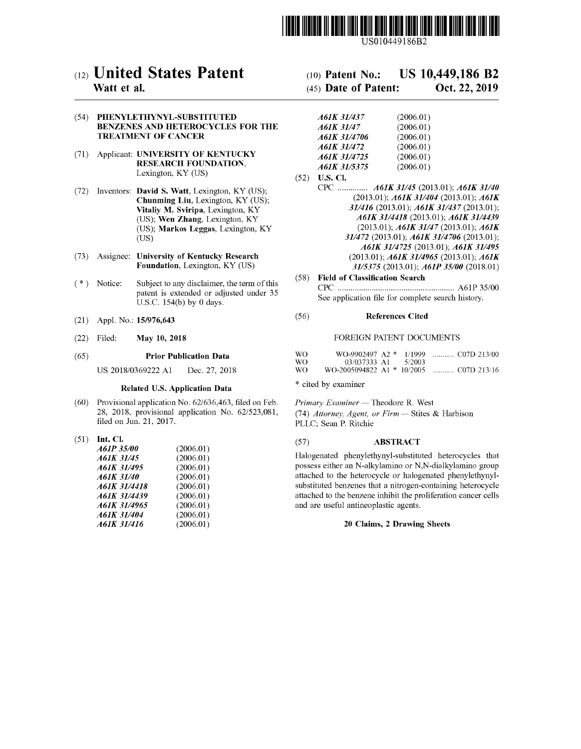

US010449186B2

## c12) **United States Patent**

### **Watt et al.**

#### (54) **PHENYLETHYNYL-SUBSTITUTED BENZENES AND HETEROCYCLES FOR THE TREATMENT OF CANCER**

- (71) Applicant: **UNIVERSITY OF KENTUCKY RESEARCH FOUNDATION,**  Lexington, KY (US)
- (72) Inventors: **David S. Watt,** Lexington, KY (US); **Chunming Liu,** Lexington, KY (US); **Vitaliy M. Sviripa,** Lexington, KY (US); **Wen Zhang,** Lexington, KY (US); **Markos Leggas,** Lexington, KY (US)
- (73) Assignee: **University of Kentucky Research Foundation,** Lexington, KY (US)
- $(*)$  Notice: Subject to any disclaimer, the term of this patent is extended or adjusted under 35 U.S.C. 154(b) by O days.
- (21) Appl. No.: **15/976,643**
- (22) Filed: **May 10, 2018**

#### (65) **Prior Publication Data**

US 2018/0369222 Al Dec. 27, 2018

#### **Related U.S. Application Data**

- (60) Provisional application No. 62/636,463, filed on Feb. 28, 2018, provisional application No. 62/523,081, filed on Jun. 21, 2017.
- (51) **Int. Cl.**

| A61P 35/00   | (2006.01) |
|--------------|-----------|
| A61K 31/45   | (2006.01) |
| A61K 31/495  | (2006.01) |
| A61K 31/40   | (2006.01) |
| A61K 31/4418 | (2006.01) |
| A61K 31/4439 | (2006.01) |
| A61K 31/4965 | (2006.01) |
| A61K 31/404  | (2006.01) |
| A61K 31/416  | (2006.01) |

## (IO) **Patent No.: US 10,449,186 B2**

## (45) **Date of Patent: Oct. 22, 2019**

| (2006.01) |
|-----------|
| (2006.01) |
| (2006.01) |
| (2006.01) |
| (2006.01) |
| (2006.01) |
|           |

- (52) **U.S. Cl.** 
	- CPC .............. *A61K 31145* (2013.01); *A61K 31140*  (2013.01); *A61K 311404* (2013.01); *A61K 311416* (2013.01); *A61K 311437* (2013.01); *A61K 3114418* (2013.01); *A61K 3114439*  (2013.01); *A61K 31147* (2013.01); *A61K 311472* (2013.01); *A61K 3114706* (2013.01); *A61K 3114725* (2013.01); *A61K 311495*  (2013.01); *A61K 3114965* (2013.01); *A61K 3115375* (2013.01); *A61P 35/00* (2018.01)
- (58) **Field of Classification Search**  CPC ....................................................... A61P 35/00 See application file for complete search history.

#### (56) **References Cited**

#### FOREIGN PATENT DOCUMENTS

| WΟ  | WO-9902497 A2 $*$ 1/1999   |           |  |  |
|-----|----------------------------|-----------|--|--|
| WO. | 03/037333 A1               | - 5/2003- |  |  |
| WΟ  | WO-2005094822 A1 * 10/2005 |           |  |  |

\* cited by examiner

*Primary Examiner* - Theodore R. West (74) *Attorney, Agent, or Firm* - Stites & Harbison PLLC; Sean P. Ritchie

#### (57) **ABSTRACT**

Halogenated phenylethynyl-substituted heterocycles that possess either an N-alkylamino or N,N-dialkylamino group attached to the heterocycle or halogenated phenylethynylsubstituted benzenes that a nitrogen-containing heterocycle attached to the benzene inhibit the proliferation cancer cells and are useful antineoplastic agents.

#### **20 Claims, 2 Drawing Sheets**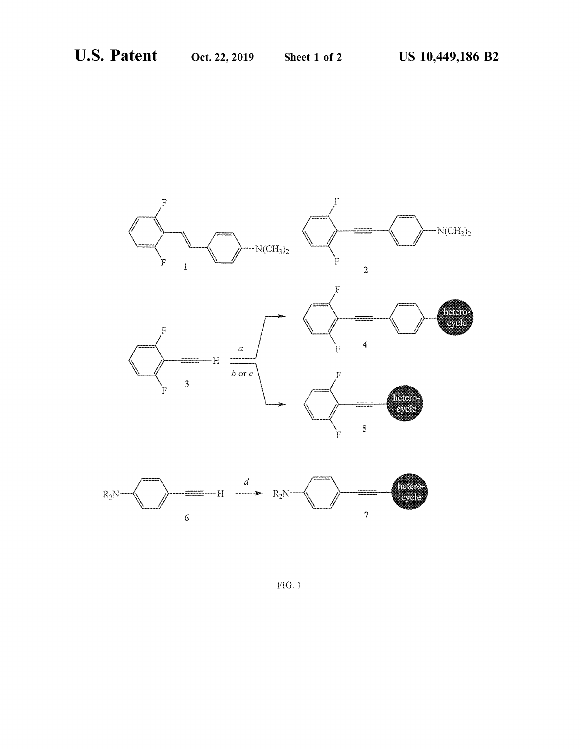

FIG. l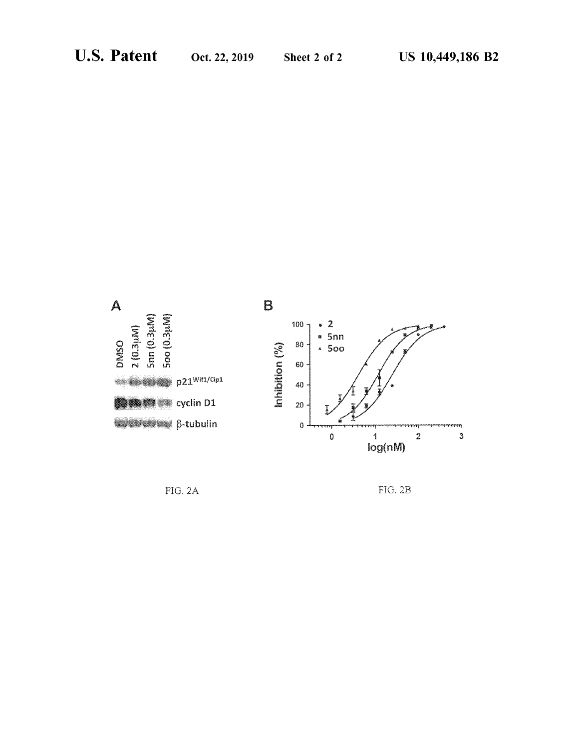

FIG. 2A

FIG. 2B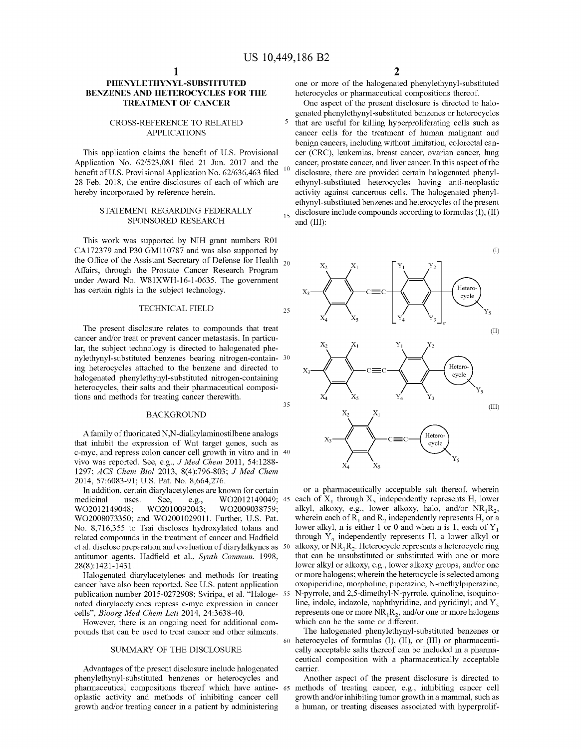### **PHENYLETHYNYL-SUBSTITUTED BENZENES AND HETEROCYCLES FOR THE TREATMENT OF CANCER**

#### CROSS-REFERENCE TO RELATED APPLICATIONS

This application claims the benefit of U.S. Provisional Application No. 62/523,081 filed 21 Jun. 2017 and the benefit of U.S. Provisional Application No. 62/636,463 filed 28 Feb. 2018, the entire disclosures of each of which are hereby incorporated by reference herein.

# STATEMENT REGARDING FEDERALLY

This work was supported by NIH grant numbers ROI CA172379 and P30 GM110787 and was also supported by the Office of the Assistant Secretary of Defense for Health  $_{20}$ Affairs, through the Prostate Cancer Research Program under Award No. W81XWH-16-l-0635. The government has certain rights in the subject technology.

### TECHNICAL FIELD 25

The present disclosure relates to compounds that treat cancer and/or treat or prevent cancer metastasis. In particular, the subject technology is directed to halogenated phenylethynyl-substituted benzenes bearing nitrogen-contain- 30 ing heterocycles attached to the benzene and directed to halogenated phenylethynyl-substituted nitrogen-containing heterocycles, their salts and their pharmaceutical compositions and methods for treating cancer therewith. 35

#### BACKGROUND

A family of fluorinated N,N-dialkylaminostilbene analogs that inhibit the expression of Wnt target genes, such as c-myc, and repress colon cancer cell growth in vitro and in 40 vivo was reported. See, e.g., *J Med Chem* 2011, 54:1288- 1297; *ACS Chem Biol* 2013, 8(4):796-803; *J Med Chem*  2014, 57:6083-91; U.S. Pat. No. 8,664,276.

In addition, certain diarylacetylenes are known for certain medicinal uses. See, e.g., WO2012149049; 45 WO2012149048; WO2010092043; WO2009038759; WO2008073350; and WO2001029011. Further, U.S. Pat. No. 8,716,355 to Tsai discloses hydroxylated tolans and related compounds in the treatment of cancer and Hadfield et al. disclose preparation and evaluation of diarylalkynes as 50 antitumor agents. Hadfield et al., *Synth Commun.* 1998, 28(8): 1421-1431.

Halogenated diarylacetylenes and methods for treating cancer have also been reported. See U.S. patent application publication number 2015-0272908; Sviripa, et al. "Haloge- 55 nated diarylacetylenes repress c-myc expression in cancer cells", *Bioorg Med Chem Lett* 2014, 24:3638-40.

However, there is an ongoing need for additional compounds that can be used to treat cancer and other ailments.

#### SUMMARY OF THE DISCLOSURE

Advantages of the present disclosure include halogenated carrier. phenylethynyl-substituted benzenes or heterocycles and pharmaceutical compositions thereof which have antine- 65 oplastic activity and methods of inhibiting cancer cell growth and/or treating cancer in a patient by administering

one or more of the halogenated phenylethynyl-substituted heterocycles or pharmaceutical compositions thereof.

One aspect of the present disclosure is directed to halogenated phenylethynyl-substituted benzenes or heterocycles that are useful for killing hyperproliferating cells such as cancer cells for the treatment of human malignant and benign cancers, including without limitation, colorectal cancer (CRC), leukemias, breast cancer, ovarian cancer, lung cancer, prostate cancer, and liver cancer. In this aspect of the disclosure, there are provided certain halogenated phenylethynyl-substituted heterocycles having anti-neoplastic activity against cancerous cells. The halogenated phenylethynyl-substituted benzenes and heterocycles of the present MENT REGARDING FEDERALLY  $_{15}$  disclosure include compounds according to formulas (I), (II)<br>SPONSORED RESEARCH  $_{\text{and (III)}}$ and (III):



or a pharmaceutically acceptable salt thereof, wherein each of  $X_1$  through  $X_5$  independently represents H, lower alkyl, alkoxy, e.g., lower alkoxy, halo, and/or  $NR_1R_2$ , wherein each of  $\overline{R}_1$  and  $\overline{R}_2$  independently represents H, or a lower alkyl, n is either 1 or 0 and when n is 1, each of  $Y_1$ through  $Y_4$  independently represents H, a lower alkyl or alkoxy, or  $NR_1R_2$ . Heterocycle represents a heterocycle ring that can be unsubstituted or substituted with one or more lower alkyl or alkoxy, e.g., lower alkoxy groups, and/or one or more halogens; wherein the heterocycle is selected among oxopiperidine, morpholine, piperazine, N-methylpiperazine, N-pyrrole, and 2,5-dimethyl-N-pyrrole, quinoline, isoquinoline, indole, indazole, naphthyridine, and pyridinyl; and  $Y_5$ represents one or more  $NR_1R_2$ , and/or one or more halogens which can be the same or different.

The halogenated phenylethynyl-substituted benzenes or 60 heterocycles of formulas (I), (II), or (III) or pharmaceutically acceptable salts thereof can be included in a pharmaceutical composition with a pharmaceutically acceptable

Another aspect of the present disclosure is directed to methods of treating cancer, e.g., inhibiting cancer cell growth and/or inhibiting tumor growth in a mammal, such as a human, or treating diseases associated with hyperprolif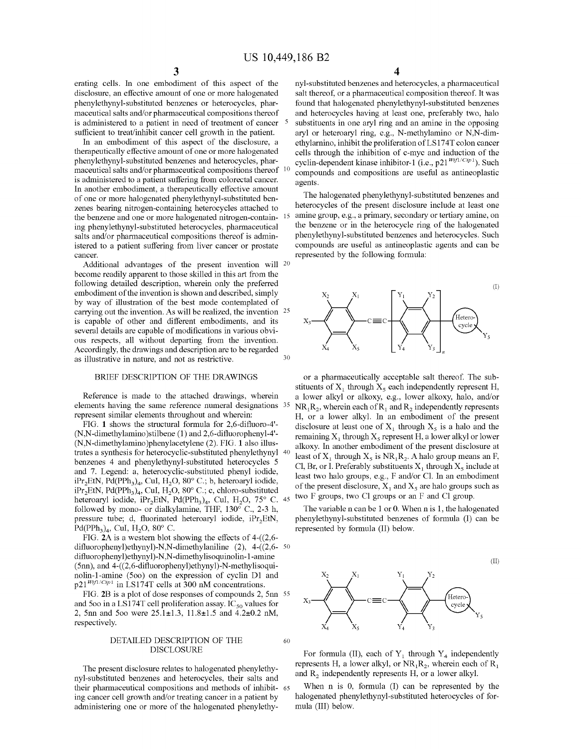erating cells. In one embodiment of this aspect of the disclosure, an effective amount of one or more halogenated phenylethynyl-substituted benzenes or heterocycles, pharmaceutical salts and/or pharmaceutical compositions thereof is administered to a patient in need of treatment of cancer sufficient to treat/inhibit cancer cell growth in the patient.

In an embodiment of this aspect of the disclosure, a therapeutically effective amount of one or more halogenated phenylethynyl-substituted benzenes and heterocycles, pharmaceutical salts and/or pharmaceutical compositions thereof is administered to a patient suffering from colorectal cancer. In another embodiment, a therapeutically effective amount of one or more halogenated phenylethynyl-substituted benzenes bearing nitrogen-containing heterocycles attached to the benzene and one or more halogenated nitrogen-contain- 15 ing phenylethynyl-substituted heterocycles, pharmaceutical salts and/or pharmaceutical compositions thereof is administered to a patient suffering from liver cancer or prostate cancer.

Additional advantages of the present invention will 20 become readily apparent to those skilled in this art from the following detailed description, wherein only the preferred embodiment of the invention is shown and described, simply by way of illustration of the best mode contemplated of carrying out the invention. As will be realized, the invention 25 is capable of other and different embodiments, and its several details are capable of modifications in various obvious respects, all without departing from the invention. Accordingly, the drawings and description are to be regarded as illustrative in nature, and not as restrictive.  $30$ 

#### BRIEF DESCRIPTION OF THE DRAWINGS

elements having the same reference numeral designations 35 represent similar elements throughout and wherein:

FIG. **1** shows the structural formula for 2,6-difluoro-4'- (N,N-dimethylamino )stilbene (1) and 2,6-difluorophenyl-4'- (N,N-dimethylamino )phenylacetylene (2). FIG. **1** also illustrates a synthesis for heterocyclic-substituted phenylethynyl benzenes 4 and phenylethynyl-substituted heterocycles 5 and 7. Legend: a, heterocyclic-substituted phenyl iodide,  $iPr<sub>2</sub>EtN, Pd(PPh<sub>3</sub>)<sub>4</sub>, CuI, H<sub>2</sub>O, 80<sup>o</sup> C.; b, heteroaryl iodide,$  $iPr<sub>2</sub>EtN, Pd(PPh<sub>3</sub>)<sub>4</sub>, CuI, H<sub>2</sub>O, 80<sup>o</sup> C.; c, chloro-substituted$ heteroaryl iodide, iPr<sub>2</sub>EtN, Pd(PPh<sub>3</sub>)<sub>4</sub>, CuI, H<sub>2</sub>O, 75° C. 45 followed by mono- or dialkylamine, THF, 130° C., 2-3 h, pressure tube; d, fluorinated heteroaryl iodide, iPr<sub>2</sub>EtN,  $Pd(PPh<sub>3</sub>)<sub>4</sub>$ , CuI, H<sub>2</sub>O, 80° C.

FIG. **2A** is a western blot showing the effects of 4-((2,6 difluorophenyl)ethynyl)-N,N-dimethylaniline (2), 4-((2,6- 50 difluorophenyl)ethynyl)-N,N-dimethylisoquinolin-1-amine (5nn), and 4-((2,6-difluorophenyl)ethynyl)-N-methylisoquinolin-1-amine (500) on the expression of cyclin Dl and p21<sup>*Wifl/Cip*<sup>1</sup> in LS174T cells at 300 nM concentrations.</sup>

FIG. **2B** is a plot of dose responses of compounds 2, 5nn 55 and 500 in a LS174T cell proliferation assay.  $IC_{50}$  values for 2, 5nn and 500 were 25.1±1.3, 11.8±1.5 and 4.2±0.2 nM, respectively.

#### DETAILED DESCRIPTION OF THE DISCLOSURE

60

The present disclosure relates to halogenated phenylethynyl-substituted benzenes and heterocycles, their salts and their pharmaceutical compositions and methods of inhibit- <sup>65</sup> ing cancer cell growth and/or treating cancer in a patient by administering one or more of the halogenated phenylethy**4** 

nyl-substituted benzenes and heterocycles, a pharmaceutical salt thereof, or a pharmaceutical composition thereof. It was found that halogenated phenylethynyl-substituted benzenes and heterocycles having at least one, preferably two, halo substituents in one aryl ring and an amine in the opposing aryl or heteroaryl ring, e.g., N-methylamino or N,N-dimethylarnino, inhibit the proliferation of LSI 74T colon cancer cells through the inhibition of c-myc and induction of the cyclin-dependent kinase inhibitor-1 (i.e., p21<sup>*Wifl/Cip1*). Such</sup> compounds and compositions are useful as antineoplastic agents.

The halogenated phenylethynyl-substituted benzenes and heterocycles of the present disclosure include at least one amine group, e.g., a primary, secondary or tertiary amine, on the benzene or in the heterocycle ring of the halogenated phenylethynyl-substituted benzenes and heterocycles. Such compounds are useful as antineoplastic agents and can be represented by the following formula:



or a pharmaceutically acceptable salt thereof. The substituents of  $X_1$ , through  $X_5$  each independently represent H, Reference is made to the attached drawings, wherein a lower alkyl or alkoxy, e.g., lower alkoxy, halo, and/or  $NR_1R_2$ , wherein each of  $R_1$  and  $R_2$  independently represents H, or a lower alkyl. In an embodiment of the present disclosure at least one of  $X_1$  through  $X_5$  is a halo and the remaining  $X_1$  through  $X_5$  represent H, a lower alkyl or lower alkoxy. In another embodiment of the present disclosure at least of  $X_1$  through  $X_5$  is  $NR_1R_2$ . A halo group means an F, Cl, Br, or I. Preferably substituents  $X_1$  through  $X_5$  include at least two halo groups, e.g., F and/or Cl. In an embodiment of the present disclosure,  $X_1$  and  $X_5$  are halo groups such as two  $F$  groups, two  $C1$  groups or an  $F$  and  $C1$  group.

> The variable n can be 1 or 0. When n is 1, the halogenated phenylethynyl-substituted benzenes of formula (I) can be represented by formula (II) below.



For formula (II), each of  $Y_1$  through  $Y_4$  independently represents H, a lower alkyl, or  $NR_1R_2$ , wherein each of  $R_1$ and  $R<sub>2</sub>$  independently represents H, or a lower alkyl.

When n is 0, formula (I) can be represented by the halogenated phenylethynyl-substituted heterocycles of formula (III) below.

(II)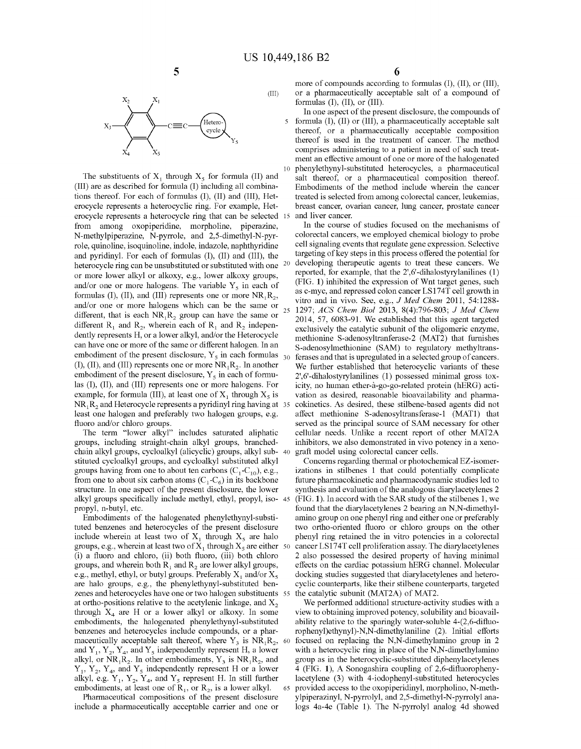(III)



The substituents of  $X_1$  through  $X_5$  for formula (II) and (III) are as described for formula (I) including all combinations thereof. For each of formulas (I), (II) and (III), Heterocycle represents a heterocyclic ring. For example, Heterocycle represents a heterocycle ring that can be selected 15 from among oxopiperidine, morpholine, piperazine, N-methylpiperazine, N-pyrrole, and 2,5-dimethyl-N-pyrrole, quinoline, isoquinoline, indole, indazole, naphthyridine and pyridinyl. For each of formulas (I), (II) and (III), the heterocycle ring can be unsubstituted or substituted with one <sup>20</sup> or more lower alkyl or alkoxy, e.g., lower alkoxy groups, and/or one or more halogens. The variable  $Y_5$  in each of formulas (I), (II), and (III) represents one or more  $NR_1R_2$ , and/or one or more halogens which can be the same or 25 different, that is each  $NR_1R_2$  group can have the same or different  $R_1$  and  $R_2$ , wherein each of  $R_1$  and  $R_2$  independently represents H, or a lower alkyl, and/or the Heterocycle can have one or more of the same or different halogen. In an embodiment of the present disclosure,  $Y_5$  in each formulas  $_{30}$ (I), (II), and (III) represents one or more  $NR_1R_2$ . In another embodiment of the present disclosure,  $Y_5$  in each of formulas (I), (II), and (III) represents one or more halogens. For example, for formula (III), at least one of  $X_1$  through  $X_5$  is  $NR_1R_2$  and Heterocycle represents a pyridinyl ring having at 35 least one halogen and preferably two halogen groups, e.g. fluoro and/or chloro groups.

The term "lower alkyl" includes saturated aliphatic groups, including straight-chain alkyl groups, branchedchain alkyl groups, cycloalkyl (alicyclic) groups, alkyl sub- 40 stituted cycloalkyl groups, and cycloalkyl substituted alkyl groups having from one to about ten carbons  $(C_1 - C_{10})$ , e.g., from one to about six carbon atoms  $(C_1 - C_6)$  in its backbone structure. In one aspect of the present disclosure, the lower alkyl groups specifically include methyl, ethyl, propyl, iso- 45 propyl, n-butyl, etc.

Embodiments of the halogenated phenylethynyl-substituted benzenes and heterocycles of the present disclosure include wherein at least two of  $X_1$  through  $X_5$  are halo groups, e.g., wherein at least two of  $\bar{X}_1$  through  $X_5$  are either 50 (i) a fluoro and chloro, (ii) both fluoro, (iii) both chloro groups, and wherein both  $R_1$  and  $R_2$  are lower alkyl groups, e.g., methyl, ethyl, or butyl groups. Preferably  $X_1$  and/or  $X_5$ are halo groups, e.g., the phenylethynyl-substituted benzenes and heterocycles have one or two halogen substituents 55 at ortho-positions relative to the acetylenic linkage, and  $X<sub>2</sub>$ through  $X_4$  are H or a lower alkyl or alkoxy. In some embodiments, the halogenated phenylethynyl-substituted benzenes and heterocycles include compounds, or a pharmaceutically acceptable salt thereof, where  $Y_3$  is  $NR_1R_2$ , 60 and  $Y_1, Y_2, Y_4$ , and  $Y_5$  independently represent H, a lower alkyl, or  $NR_1R_2$ . In other embodiments,  $Y_3$  is  $NR_1R_2$ , and  $Y_1, Y_2, Y_4$ , and  $Y_5$  independently represent H or a lower alkyl, e.g.  $Y_1, Y_2, Y_4$ , and  $Y_5$  represent H. In still further

Pharmaceutical compositions of the present disclosure include a pharmaceutically acceptable carrier and one or more of compounds according to formulas (I), (II), or (III), or a pharmaceutically acceptable salt of a compound of formulas (I), (II), or (III).

In one aspect of the present disclosure, the compounds of 5 formula (I), (II) or (III), a pharmaceutically acceptable salt thereof, or a pharmaceutically acceptable composition thereof is used in the treatment of cancer. The method comprises administering to a patient in need of such treatment an effective amount of one or more of the halogenated 10 phenylethynyl-substituted heterocycles, a pharmaceutical salt thereof, or a pharmaceutical composition thereof. Embodiments of the method include wherein the cancer treated is selected from among colorectal cancer, leukemias, breast cancer, ovarian cancer, lung cancer, prostate cancer and liver cancer.

In the course of studies focused on the mechanisms of colorectal cancers, we employed chemical biology to probe cell signaling events that regulate gene expression. Selective targeting of key steps in this process offered the potential for developing therapeutic agents to treat these cancers. We reported, for example, that the 2',6'-dihalostyrylanilines (1) (FIG. **1)** inhibited the expression of Wnt target genes, such as c-myc, and repressed colon cancer LSI 74T cell growth in vitro and in vivo. See, e.g., *J Med Chem* 2011, 54:1288- 1297; *ACS Chem Biol* 2013, 8(4):796-803; *J Med Chem*  2014, 57, 6083-91. We established that this agent targeted exclusively the catalytic subunit of the oligomeric enzyme, methionine S-adenosyltranferase-2 (MAT2) that furnishes S-adenosylmethionine (SAM) to regulatory methyltransferases and that is upregulated in a selected group of cancers. We further established that heterocyclic variants of these 2',6'-dihalostyrylanilines (1) possessed minimal gross toxicity, no human ether-à-go-go-related protein (hERG) activation as desired, reasonable bioavailability and pharmacokinetics. As desired, these stilbene-based agents did not affect methionine S-adenosyltransferase-1 (MAT!) that served as the principal source of SAM necessary for other cellular needs. Unlike a recent report of other MAT2A inhibitors, we also demonstrated in vivo potency in a xenograft model using colorectal cancer cells.

Concerns regarding thermal or photochemical EZ-isomerizations in stilbenes 1 that could potentially complicate future pharmacokinetic and pharmacodynamic studies led to synthesis and evaluation of the analogous diarylacetylenes 2 (FIG. **1).** In accord with the SAR study of the stilbenes 1, we found that the diarylacetylenes 2 bearing an N,N-dimethylamino group on one phenyl ring and either one or preferably two ortho-oriented fluoro or chloro groups on the other phenyl ring retained the in vitro potencies in a colorectal cancer LSI 74T cell proliferation assay. The diarylacetylenes 2 also possessed the desired property of having minimal effects on the cardiac potassium hERG channel. Molecular docking studies suggested that diarylacetylenes and heterocyclic counterparts, like their stilbene counterparts, targeted the catalytic subunit (MAT2A) of MAT2.

We performed additional structure-activity studies with a view to obtaining improved potency, solubility and bioavailability relative to the sparingly water-soluble 4-(2,6-difluorophenyl)ethynyl)-N,N-dimethylaniline (2). Initial efforts focused on replacing the N,N-dimethylamino group in 2 with a heterocyclic ring in place of the N,N-dimethylamino group as in the heterocyclic-substituted diphenylacetylenes 4 (FIG. **1),** A Sonogashira coupling of 2,6-difluorophenylacetylene (3) with 4-iodophenyl-substituted heterocycles embodiments, at least one of  $R_1$ , or  $R_2$ , is a lower alkyl. 65 provided access to the oxopiperidinyl, morpholino, N-methylpiperazinyl, N-pyrrolyl, and 2,5-dimethyl-N-pyrrolyl analogs 4a-4e (Table 1). The N-pyrrolyl analog 4d showed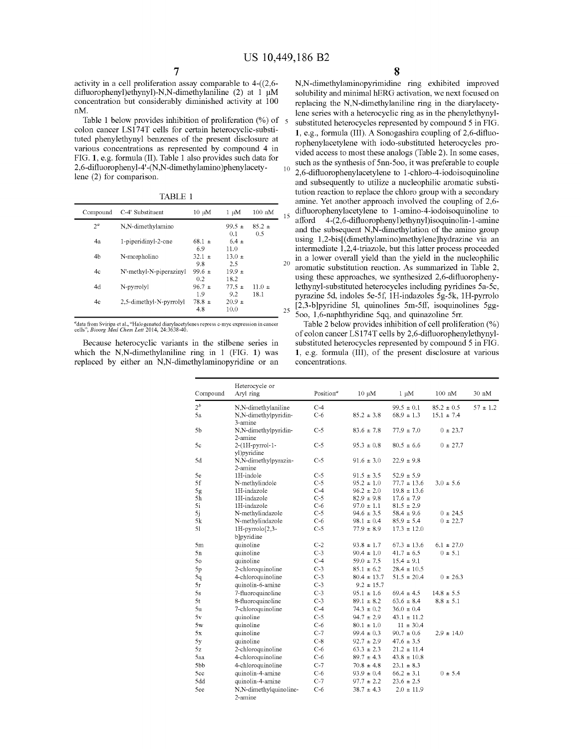activity in a cell proliferation assay comparable to 4-((2,6 difluorophenyl)ethynyl)-N,N-dimethylaniline (2) at 1 µM concentration but considerably diminished activity at 100 nM.

Table 1 below provides inhibition of proliferation  $(\%)$  of 5 colon cancer LSI 74T cells for certain heterocyclic-substituted phenylethynyl benzenes of the present disclosure at various concentrations as represented by compound 4 in FIG. **1,** e.g. formula (II). Table I also provides such data for 2,6-difluorophenyl-4'-(N,N-dimethylamino)phenylacetylene (2) for comparison.

TABLE I

| Compound | C-4' Substituent        | $10 \mu M$        | $1 \mu M$          | $100 \text{ nM}$   | 15 |
|----------|-------------------------|-------------------|--------------------|--------------------|----|
| $2^a$    | N.N-dimethylamino       |                   | $99.5 +$<br>0.1    | $85.2 \pm$<br>0.5  |    |
| 4a       | 1-piperidinyl-2-one     | $68.1 \pm$<br>6.9 | $6.4 \pm$<br>11.0  |                    |    |
| 4b       | N-morpholino            | $32.1 \pm$<br>9.8 | $13.0 +$<br>2.5    |                    | 20 |
| 4c       | N'-methyl-N-piperazinyl | $99.6 +$<br>0.2   | $19.9 +$<br>18.2   |                    |    |
| 4d       | N-pyrrolyl              | $96.7 \pm$<br>1.9 | $77.5 \pm$<br>9.2  | $11.0 \pm$<br>18.1 |    |
| 4e       | 2,5-dimethyl-N-pyrrolyl | $78.8 \pm$<br>4.8 | $20.9 \pm$<br>10.0 |                    |    |
|          |                         |                   |                    |                    | 25 |

*a* data from Sviripa et al., "Halogenated diarylacetylenes repress c-myc expression in cancer cells", *Bioorg Med Chem Lett* 2014, 24:3638-40.

Because heterocyclic variants in the stilbene series in which the N,N-dimethylaniline ring in I (FIG. **1)** was replaced by either an N,N-dimethylaminopyridine or an **8** 

N,N-dimethylaminopyrimidine ring exhibited improved solubility and minimal hERG activation, we next focused on replacing the N,N-dimethylaniline ring in the diarylacetylene series with a heterocyclic ring as in the phenylethynyl-5 substituted heterocycles represented by compound 5 in FIG. **1,** e.g., formula (III). A Sonogashira coupling of 2,6-difluorophenylacetylene with iodo-substituted heterocycles provided access to most these analogs (Table 2). In some cases, such as the synthesis of 5nn-5oo, it was preferable to couple 2,6-difluorophenylacetylene to 1-chloro-4-iodoisoquinoline and subsequently to utilize a nucleophilic aromatic substitution reaction to replace the chloro group with a secondary amine. Yet another approach involved the coupling of 2,6 difluorophenylacetylene to l-amino-4-iodoisoquinoline to afford 4-(2,6-difluorophenyl)ethynyl)isoquinolin-1-amine and the subsequent N,N-dimethylation of the amino group using 1,2-bis[(dimethylamino)methylene]hydrazine via an intermediate 1,2,4-triazole, but this latter process proceeded in a lower overall yield than the yield in the nucleophilic aromatic substitution reaction. As summarized in Table 2, using these approaches, we synthesized 2,6-difluorophenylethynyl-substituted heterocycles including pyridines 5a-5c, pyrazine 5d, indoles 5e-5f, IH-indazoles 5g-5k, IH-pyrrolo [2,3-b ]pyridine 51, quinolines 5m-5ff, isoquinolines 5gg-5oo, 1,6-naphthyridine Sqq, and quinazoline 5rr.

Table 2 below provides inhibition of cell proliferation (%) of colon cancer LSI 74T cells by 2,6-difluorophenylethynylsubstituted heterocycles represented by compound 5 in FIG. **1,** e.g. formula (III), of the present disclosure at various concentrations.

| Compound         | Heterocycle or<br>Aryl ring         | Position <sup>a</sup> | $10 \mu M$      | $1 \mu M$       | $100$ nM       | 30 nM        |
|------------------|-------------------------------------|-----------------------|-----------------|-----------------|----------------|--------------|
| $2^b$            | N,N-dimethylaniline                 | $C-4$                 |                 | $99.5 \pm 0.1$  | $85.2 \pm 0.5$ | $57 \pm 1.2$ |
| 5a               | N,N-dimethylpyridin-<br>3-amine     | $C-6$                 | $85.2 \pm 3.8$  | $68.9 \pm 1.3$  | $15.1 \pm 7.4$ |              |
| 5 <sub>b</sub>   | N,N-dimethylpyridin-<br>2-amine     | $C-5$                 | $83.6 \pm 7.8$  | $77.9 \pm 7.0$  | $0 \pm 23.7$   |              |
| 5c               | 2-(1H-pyrrol-1-<br>yl)pyridine      | $C-5$                 | $95.3 \pm 0.8$  | $80.5 \pm 6.6$  | $0 \pm 27.7$   |              |
| 5d               | N,N-dimethylpyrazin-<br>2-amine     | $C-5$                 | $91.6 \pm 3.0$  | $22.9 \pm 9.8$  |                |              |
| 5e               | 1H-indole                           | $C-5$                 | $91.5 \pm 3.5$  | $52.9 \pm 5.9$  |                |              |
| 5f               | N-methylindole                      | $C-5$                 | $95.2 \pm 1.0$  | $77.7 \pm 13.6$ | $3.0 \pm 5.6$  |              |
| 5g               | 1H-indazole                         | $C-4$                 | $96.2 \pm 2.0$  | $19.8 \pm 13.6$ |                |              |
| 5 <sub>h</sub>   | 1H-indazole                         | $C-5$                 | $82.9 \pm 9.8$  | $17.6 \pm 7.9$  |                |              |
| 5i               | 1H-indazole                         | $C-6$                 | $97.0 \pm 1.1$  | $81.5 \pm 2.9$  |                |              |
| 5j               | N-methylindazole                    | $C-5$                 | $94.6 \pm 3.5$  | $58.4 \pm 9.6$  | $0 \pm 24.5$   |              |
| 5k               | N-methylindazole                    | $C-6$                 | $98.1 \pm 0.4$  | $85.9 \pm 5.4$  | $0 \pm 22.7$   |              |
| 51               | $1H$ -pyrrolo $[2,3-$<br>b]pyridine | $C-5$                 | $77.9 \pm 8.9$  | $17.3 \pm 12.0$ |                |              |
| 5m               | quinoline                           | $C-2$                 | $93.8 \pm 1.7$  | $67.3 \pm 13.6$ | $6.1 \pm 27.0$ |              |
| 5n               | quinoline                           | $C-3$                 | $90.4 \pm 1.0$  | $41.7 \pm 6.5$  | $0 \pm 5.1$    |              |
| 50               | quinoline                           | $C-4$                 | $59.0 \pm 7.5$  | $15.4 \pm 9.1$  |                |              |
| 5p               | 2-chloroquinoline                   | $C-3$                 | $85.1 \pm 6.2$  | $28.4 \pm 10.5$ |                |              |
| 5q               | 4-chloroquinoline                   | $C-3$                 | $80.4 \pm 13.7$ | $51.5 \pm 20.4$ | $0 \pm 26.3$   |              |
| 5r               | quinolin-6-amine                    | $C-3$                 | $9.2 \pm 15.7$  |                 |                |              |
| 5s               | 7-fluoroquinoline                   | $C-3$                 | $95.1 \pm 1.6$  | $69.4 \pm 4.5$  | $14.8 \pm 5.5$ |              |
| 5t               | 8-fluoroquinoline                   | $C-3$                 | $89.1 \pm 8.2$  | $63.6 \pm 8.4$  | $8.8 \pm 5.1$  |              |
| 5u               | 7-chloroquinoline                   | $C-4$                 | $74.3 \pm 0.2$  | $36.0 \pm 0.4$  |                |              |
| 5v               | quinoline                           | $C-5$                 | $94.7 \pm 2.9$  | $43.1 \pm 11.2$ |                |              |
| 5w               | quinoline                           | $C-6$                 | $80.1 \pm 1.0$  | $11 \pm 30.4$   |                |              |
| 5x               | quinoline                           | $C-7$                 | $99.4 \pm 0.3$  | $90.7 \pm 0.6$  | $2.9 \pm 14.0$ |              |
| 5y               | quinoline                           | $C-8$                 | $92.7 \pm 2.9$  | $47.6 \pm 3.5$  |                |              |
| 5z               | 2-chloroquinoline                   | $C-6$                 | $63.3 \pm 2.3$  | $21.2 \pm 11.4$ |                |              |
| 5aa              | 4-chloroquinoline                   | $C-6$                 | $89.7 \pm 4.3$  | $43.8 \pm 10.8$ |                |              |
| 5 <sub>b</sub> b | 4-chloroquinoline                   | $C-7$                 | $70.8 \pm 4.8$  | $23.1 \pm 8.3$  |                |              |
| 5cc              | quinolin-4-amine                    | $C-6$                 | $93.9 \pm 0.4$  | $66.2 \pm 3.1$  | $0 \pm 5.4$    |              |
| 5dd              | quinolin-4-amine                    | $C-7$                 | $97.7 \pm 2.2$  | $23.6 \pm 2.5$  |                |              |
|                  |                                     | $C-6$                 |                 |                 |                |              |
| 5ee              | N,N-dimethylquinoline-<br>2-amine   |                       | $38.7 \pm 4.3$  | $2.0 \pm 11.9$  |                |              |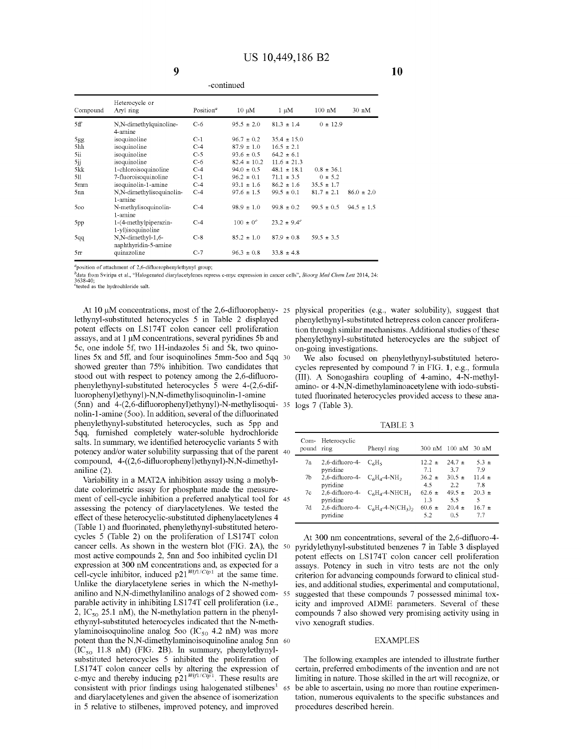| -сопиниес       |                                             |                       |                     |                  |                  |                 |
|-----------------|---------------------------------------------|-----------------------|---------------------|------------------|------------------|-----------------|
| Compound        | Heterocycle or<br>Aryl ring                 | Position <sup>a</sup> | $10 \mu M$          | $1 \mu M$        | $100 \text{ nM}$ | $30 \text{ nM}$ |
| 5ff             | N,N-dimethylquinoline-<br>4-amine           | $C-6$                 | $95.5 \pm 2.0$      | $81.3 \pm 1.4$   | $0 \pm 12.9$     |                 |
| 5gg             | isoquinoline                                | $C-1$                 | $96.7 \pm 0.2$      | $35.4 \pm 15.0$  |                  |                 |
| 5hh             | isoquinoline                                | $C-4$                 | $87.9 \pm 1.0$      | $16.5 \pm 2.1$   |                  |                 |
| 5ii             | isoquinoline                                | $C-5$                 | $93.6 \pm 0.5$      | $64.2 \pm 6.1$   |                  |                 |
| 5jj             | isoquinoline                                | $C-6$                 | $82.4 \pm 10.2$     | $11.6 \pm 21.3$  |                  |                 |
| 5kk             | 1-chloroisoquinoline                        | $C-4$                 | $94.0 \pm 0.5$      | $48.1 \pm 18.1$  | $0.8 \pm 36.1$   |                 |
| 511             | 7-fluoroisoquinoline                        | $C-1$                 | $96.2 \pm 0.1$      | $71.1 \pm 3.5$   | $0 \pm 5.2$      |                 |
| 5mm             | isoquinolin-1-amine                         | $C-4$                 | $93.1 \pm 1.6$      | $86.2 \pm 1.6$   | $35.5 \pm 1.7$   |                 |
| 5nn             | N,N-dimethylisoquinolin-<br>1-amine         | $C-4$                 | $97.6 \pm 1.5$      | $99.5 \pm 0.1$   | $81.7 \pm 2.1$   | $86.0 \pm 2.0$  |
| 500             | N-methylisoquinolin-<br>1-amine             | $C-4$                 | $98.9 \pm 1.0$      | $99.8 \pm 0.2$   | $99.5 \pm 0.5$   | $94.5 \pm 1.5$  |
| 5pp             | 1-(4-methylpiperazin-<br>1-yl)isoquinoline  | $C-4$                 | $100 \pm 0^{\circ}$ | $23.2 \pm 9.4^c$ |                  |                 |
| 5qq             | N, N-dimethyl-1, 6-<br>naphthyridin-5-amine | $C-8$                 | $85.2 \pm 1.0$      | $87.9 \pm 0.8$   | $59.5 \pm 3.5$   |                 |
| 5 <sub>rr</sub> | quinazoline                                 | $C-7$                 | $96.3 \pm 0.8$      | $33.8 \pm 4.8$   |                  |                 |

-continued

aposition of attachment of 2,6-difluorophenylethynyl group;

bdata from Sviripa et al., "Halogenated diarylacetylenes repress c-myc expression in cancer cells", *Bioorg Med Chem Lett* 2014, 24:

3638-40; ctested as the hydrochloride salt.

lethynyl-substituted heterocycles 5 in Table 2 displayed potent effects on LS174T colon cancer cell proliferation assays, and at 1 µM concentrations, several pyridines 5b and *Sc,* one indole 5f, two lH-indazoles 5i and 5k, two quinolines 5x and 5ff, and four isoquinolines 5mm-5oo and Sqq 30 showed greater than 75% inhibition. Two candidates that stood out with respect to potency among the 2,6-difluorophenylethynyl-substituted heterocycles 5 were 4-(2,6-difluorophenyl)ethynyl)-N,N-dimethylisoquinolin-1-amine (5nn) and 4-(2,6-difluorophenyl)ethynyl)-N-methylisoqui- 35 logs 7 (Table 3). nolin-1-amine ( 500 ). In addition, several of the difluorinated phenylethynyl-substituted heterocycles, such as 5pp and Sqq, furnished completely water-soluble hydrochloride salts. In summary, we identified heterocyclic variants 5 with potency and/or water solubility surpassing that of the parent 40 compound, 4-((2,6-difluorophenyl)ethynyl)-N,N-dimethylaniline (2).

ment of cell-cycle inhibition a preferred analytical tool for 45 Variability in a MAT2A inhibition assay using a molybdate colorimetric assay for phosphate made the measureassessing the potency of diarylacetylenes. We tested the effect of these heterocyclic-substituted diphenylacetylenes 4 (Table 1) and fluorinated, phenylethynyl-substituted heterocycles 5 (Table 2) on the proliferation of LS174T colon cancer cells. As shown in the western blot (FIG. **2A),** the *so*  most active compounds 2, 5nn and 500 inhibited cyclin Dl expression at 300 nM concentrations and, as expected for a cell-cycle inhibitor, induced  $p21^{Wf1/Cip1}$  at the same time. Unlike the diarylacetylene series in which the N-methylanilino and N,N-dimethylanilino analogs of 2 showed com- <sup>55</sup> parable activity in inhibiting LSI 74T cell proliferation (i.e., 2,  $IC_{50}$  25.1 nM), the N-methylation pattern in the phenylethynyl-substituted heterocycles indicated that the N-methylaminoisoquinoline analog 500 (IC $_{50}$  4.2 nM) was more potent than the N,N-dimethylaminoisoquinoline analog 5nn 60 (IC<sub>50</sub> 11.8 nM) (FIG. 2B). In summary, phenylethynylsubstituted heterocycles 5 inhibited the proliferation of LS174T colon cancer cells by altering the expression of c-myc and thereby inducing  $p21^{Wt/Cap1}$ . These results are consistent with prior findings using halogenated stilbenes<sup>1</sup>  $65$ and diarylacetylenes and given the absence of isomerization in 5 relative to stilbenes, improved potency, and improved

At 10  $\mu$ M concentrations, most of the 2,6-difluoropheny- 25 physical properities (e.g., water solubility), suggest that phenylethynyl-substituted hetrepress colon cancer proliferation through similar mechanisms. Additional studies of these phenylethynyl-substituted heterocycles are the subject of on-going investigations.

We also focused on phenylethynyl-substituted heterocycles represented by compound 7 in FIG. 1, e.g., formula (III). A Sonogashira coupling of 4-amino, 4-N-methylamino- or 4-N,N-dimethylaminoacetylene with iodo-substituted fluorinated heterocycles provided access to these ana-

TABLE 3

| pound ring     | Com- Heterocyclic                                       | Phenyl ring                                  |                              | 300 nM 100 nM     | 30 nM            |
|----------------|---------------------------------------------------------|----------------------------------------------|------------------------------|-------------------|------------------|
| 7a             | 2,6-difluoro-4-<br>pyridine                             | $C_{c}H_{s}$                                 | $12.2 \pm$<br>7.1            | $247 +$<br>37     | $53 +$<br>7.9    |
| 7 <sub>b</sub> | 2,6-diffuoro-4- $C_6H_4$ -4-NH <sub>2</sub><br>pyridine |                                              | $36.2 \pm$<br>45             | $30.5 \pm$<br>22  | $11.4 \pm$<br>78 |
| 7c             | 2,6-difluoro-4-<br>pyridine                             | $C6H4$ -4-NHCH <sub>3</sub>                  | $62.6 \pm$<br>1 <sup>3</sup> | $49.5 \pm$<br>5.5 | $20.3 \pm$<br>5  |
| 7d             | 2.6-difluoro-4-<br>pyridine                             | $C_6H_4$ -4-N(CH <sub>3</sub> ) <sub>2</sub> | $60.6 \pm$<br>5.2            | $20.4 \pm$<br>0.5 | $16.7 \pm$<br>77 |

At 300 nm concentrations, several of the 2,6-difluoro-4 pyridylethynyl-substituted benzenes 7 in Table 3 displayed potent effects on LS174T colon cancer cell proliferation assays. Potency in such in vitro tests are not the only criterion for advancing compounds forward to clinical studies, and additional studies, experimental and computational, suggested that these compounds 7 possessed minimal toxicity and improved ADME parameters. Several of these compounds 7 also showed very promising activity using in vivo xenograft studies.

#### EXAMPLES

The following examples are intended to illustrate further certain, preferred embodiments of the invention and are not limiting in nature. Those skilled in the art will recognize, or be able to ascertain, using no more than routine experimentation, numerous equivalents to the specific substances and procedures described herein.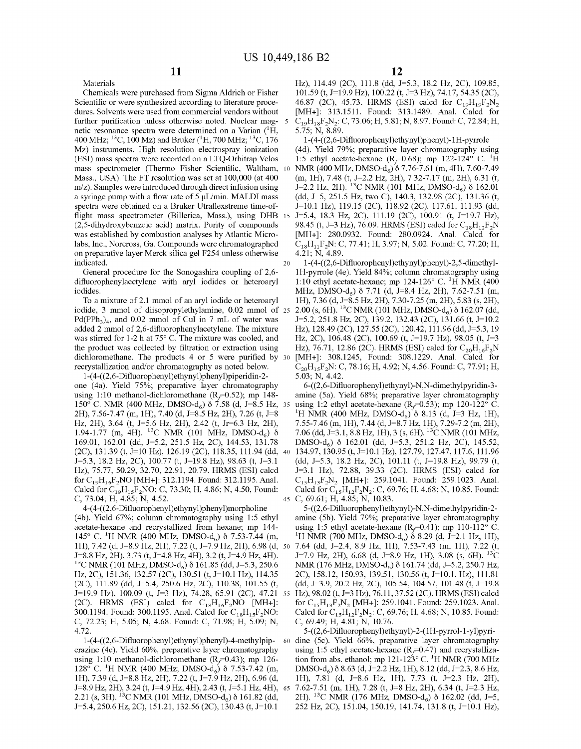20

Materials

Chemicals were purchased from Sigma Aldrich or Fisher Scientific or were synthesized according to literature procedures. Solvents were used from commercial vendors without further purification unless otherwise noted. Nuclear mag- 5 netic resonance spectra were determined on a Varian  $(^1H, )^6$ 400 MHz; <sup>13</sup>C, 100 Mz) and Bruker (<sup>1</sup>H, 700 MHz; <sup>13</sup>C, 176 Mz) instruments. High resolution electrospray ionization (ESI) mass spectra were recorded on a LTQ-Orbitrap Velos mass spectrometer (Thermo Fisher Scientific, Waltham, 10 Mass., USA). The FT resolution was set at 100,000 (at 400 m/z). Samples were introduced through direct infusion using a syringe pump with a flow rate of  $5 \mu L/min$ . MALDI mass spectra were obtained on a Bruker Utraflexstreme time-offlight mass spectrometer (Billerica, Mass.), using DHB 15 (2,5-dihydroxybenzoic acid) matrix. Purity of compounds was established by combustion analyses by Atlantic Microlabs, Inc., Norcross, Ga. Compounds were chromatographed on preparative layer Merck silica gel F254 unless otherwise indicated.

**11** 

General procedure for the Sonogashira coupling of 2,6 difluorophenylacetylene with aryl iodides or heteroaryl iodides.

To a mixture of 2.1 mmol of an aryl iodide or heteroaryl iodide, 3 mmol of diisopropylethylamine, 0.02 mmol of 25  $Pd(PPh<sub>3</sub>)<sub>4</sub>$ , and 0.02 mmol of CuI in 7 mL of water was added 2 mmol of 2,6-difluorophenylacetylene. The mixture was stirred for 1-2 hat 75° C. The mixture was cooled, and the product was collected by filtration or extraction using dichloromethane. The products 4 or 5 were purified by 30 recrystallization and/or chromatography as noted below.

1-( 4-( (2,6-Difluorophenyl)ethynyl)phenyl)piperidin-2 one (4a). Yield 75%; preparative layer chromatography using 1:10 methanol-dichloromethane ( $R_f$ =0.52); mp 148-150° C. NMR (400 MHz, DMSO-d<sub>6</sub>)  $\delta$  7.58 (d, J=8.5 Hz, 35 2H), 7.56-7.47 (m, lH), 7.40 (d, 1=8.5 Hz, 2H), 7.26 (t, 1=8 Hz, 2H), 3.64 (t, *1=5.6* Hz, 2H), 2.42 (t, *lr=6.3* Hz, 2H), 1.94-1.77 (m, 4H). <sup>13</sup>C NMR (101 MHz, DMSO-d<sub>6</sub>)  $\delta$ 169.01, 162.01 (dd, *1=5.2,* 251.5 Hz, 2C), 144.53, 131.78 (2C), 131.39 (t, 1=10 Hz), 126.19 (2C), 118.35, 111.94 (dd, 40 134.97, 130.95 (t, 1=10.1 Hz), 127.79, 127.47, 117.6, 111.96 *1=5.3,* 18.2 Hz, 2C), 100.77 (t, 1=19.8 Hz), 98.63 (t, 1=3.1 Hz), 75.77, 50.29, 32.70, 22.91, 20.79. HRMS (ESI) calcd for  $C_{19}H_{16}F_2NO$  [MH+]: 312.1194. Found: 312.1195. Anal. Calcd for  $C_{19}H_{15}F_2NO$ : C, 73.30; H, 4.86; N, 4.50, Found: C, 73.04; H, 4.85; N, 4.52.

4-(4-((2,6-Difluorophenyl)ethynyl)phenyl)morpholine (4b). Yield 67%; colunm chromatography using 1:5 ethyl acetate-hexane and recrystallized from hexane; mp 144- 145° C. <sup>1</sup>H NMR (400 MHz, DMSO-d<sub>6</sub>)  $\delta$  7.53-7.44 (m, lH), 7.42 (d, 1=8.9 Hz, 2H), 7.22 (t, *1=7.9* Hz, 2H), 6.98 (d, 50 1=8.8 Hz, 2H), 3.73 (t, 1=4.8 Hz, 4H), 3.2 (t, *1=4.9* Hz, 4H). 13C NMR (101 MHz, DMSO-d6) ll 161.85 (dd, *1=5.3,* 250.6 Hz, 2C), 151.36, 132.57 (2C), 130.51 (t, 1=10.1 Hz), 114.35 (2C), 111.89 (dd, *1=5.4,* 250.6 Hz, 2C), 110.38, 101.55 (t, 1=19.9 Hz), 100.09 (t, *1=3* Hz), 74.28, 65.91 (2C), 47.21 55 (2C). HRMS (ESI) calcd for  $C_{18}H_{16}F_2NO$  [MH+]: 300.1194. Found: 300.1195. Anal. Calcd for  $C_{18}H_{15}F_2NO$ : C, 72.23; H, 5.05; N, 4.68. Found: C, 71.98; H, 5.09; N, 4.72.

1-(4-((2,6-Difluorophenyl)ethynyl)phenyl)-4-methylpiperazine (4c). Yield 60%, preparative layer chromatography using 1:10 methanol-dichloromethane ( $R_f$ =0.43); mp 126- $128^{\circ}$  C. <sup>1</sup>H NMR (400 MHz; DMSO-d<sub>6</sub>)  $\delta$  7.53-7.42 (m, lH), 7.39 (d, 1=8.8 Hz, 2H), 7.22 (t, *1=7.9* Hz, 2H), 6.96 (d, 1=8.9 Hz, 2H), 3.24 (t, *1=4.9* Hz, 4H), 2.43 (t, *1=5.l* Hz, 4H), 2.21 (s, 3H). <sup>13</sup>C NMR (101 MHz, DMSO-d<sub>6</sub>)  $\delta$  161.82 (dd, *1=5.4,* 250.6 Hz, 2C), 151.21, 132.56 (2C), 130.43 (t, 1=10.1

Hz), 114.49 (2C), 111.8 (dd, *1=5.3,* 18.2 Hz, 2C), 109.85, 101.59 (t, 1=19.9 Hz), 100.22 (t, *1=3* Hz), 74.17, 54.35 (2C), 46.87 (2C), 45.73. HRMS (ESI) calcd for  $C_{19}H_{19}F_2N_2$ [MH+]: 313.1511. Found: 313.1489. Anal. Calcd for  $C_{19}H_{18}F_2N_2$ : C, 73.06; H, 5.81; N, 8.97. Found: C, 72.84; H, 5.75; N, 8.89.

1-( 4-( (2,6-Difluorophenyl)ethynyl)phenyl)-1 H-pyrrole (4d). Yield 79%; preparative layer chromatography using 1:5 ethyl acetate-hexane  $(R_f=0.68)$ ; mp 122-124° C. <sup>1</sup>H NMR (400 MHz, DMSO-d<sub>6</sub>)  $\delta$  7.76-7.61 (m, 4H), 7.60-7.49 (m, lH), 7.48 (t, *1=2.2* Hz, 2H), 7.32-7.17 (m, 2H), 6.31 (t,  $\hat{J}$ =2.2 Hz, 2H). <sup>13</sup>C NMR (101 MHz, DMSO-d<sub>6</sub>)  $\hat{\delta}$  162.01 (dd, *1=5,* 251.5 Hz, two C), 140.3, 132.98 (2C), 131.36 (t, 1=10.1 Hz), 119.15 (2C), 118.92 (2C), 117.61, 111.93 (dd, *1=5.4,* 18.3 Hz, 2C), 111.19 (2C), 100.91 (t, 1=19.7 Hz), 98.45 (t, J=3 Hz), 76.09. HRMS (ESI) calcd for C<sub>18</sub>H<sub>12</sub>F<sub>2</sub>N [MH+]: 280.0932. Found: 280.0924. Anal. Calcd for  $C_{18}H_{11}F_{2}N$ : C, 77.41; H, 3.97; N, 5.02. Found: C, 77.20; H, 4.21; N, 4.89.

1-( 4-( (2,6-Difluorophenyl)ethynyl)phenyl)-2,5-dimethyl-1 H-pyrrole (4e). Yield 84%; colunm chromatography using 1:10 ethyl acetate-hexane; mp  $124-126^\circ$  C.  $^{1}$ H NMR (400) MHz, DMSO-d<sub>6</sub>)  $\delta$  7.71 (d, J=8.4 Hz, 2H), 7.62-7.51 (m, lH), 7.36 (d, 1=8.5 Hz, 2H), 7.30-7.25 (m, 2H), 5.83 (s, 2H), 2.00 (s, 6H). <sup>13</sup>C NMR (101 MHz, DMSO-d<sub>6</sub>)  $\delta$  162.07 (dd, *1=5.2,* 251.8 Hz, 2C), 139.2, 132.43 (2C), 131.66 (t, 1=10.2 Hz), 128.49 (2C), 127.55 (2C), 120.42, 111.96 (dd, *1=5.3,* 19 Hz, 2C), 106.48 (2C), 100.69 (t, 1=19.7 Hz), 98.05 (t, *1=3*  Hz), 76.71, 12.86 (2C). HRMS (ESI) calcd for  $C_{20}H_{16}F_{2}N$ [MH+]: 308.1245, Found: 308.1229. Anal. Calcd for  $C_{20}H_{15}F_{2}N$ : C, 78.16; H, 4.92; N, 4.56. Found: C, 77.91; H, 5.03; N, 4.42.

6-((2,6-Difluorophenyl)ethynyl)-N,N-dimethylpyridin-3 amine (5a). Yield 68%; preparative layer chromatography using 1:2 ethyl acetate-hexane (R $\neq$ =0.53); mp 120-122° C. <sup>1</sup>H NMR (400 MHz, DMSO-d<sub>6</sub>)  $\delta$  8.13 (d, J=3 Hz, 1H), 7.55-7.46 (m, lH), 7.44 (d, 1=8.7 Hz, lH), 7.29-7.2 (m, 2H), 7.06 (dd, 1=3.1, 8.8 Hz, lH), 3 (s, 6H). 13C NMR (101 MHz, DMSO-d<sub>6</sub>)  $\delta$  162.01 (dd, J=5.3, 251.2 Hz, 2C), 145.52, (dd, *1=5.3,* 18.2 Hz, 2C), 101.11 (t, 1=19.8 Hz), 99.79 (t, 1=3.1 Hz), 72.88, 39.33 (2C). HRMS (ESI) calcd for  $C_{15}H_{13}F_2N_2$  [MH+]: 259.1041. Found: 259.1023. Anal. Calcd for  $C_{15}H_{12}F_2N_2$ : C, 69.76; H, 4.68; N, 10.85. Found: 45 C, 69.61; H, 4.85; N, 10.83.

5-((2,6-Difluorophenyl)ethynyl)-N,N-dimethylpyridin-2 amine (5b). Yield 79%; preparative layer chromatography using 1:5 ethyl acetate-hexane (R<sub>f</sub>=0.41); mp 110-112° C. <sup>1</sup>H NMR (700 MHz, DMSO-d<sub>6</sub>)  $\delta$  8.29 (d, J=2.1 Hz, 1H), 7.64 (dd, *1=2.4,* 8.9 Hz, lH), 7.53-7.43 (m, lH), 7.22 (t, *1=7.9* Hz, 2H), 6.68 (d, 1=8.9 Hz, lH), 3.08 (s, 6H). 13C NMR (176 MHz, DMSO-d<sub>6</sub>) δ 161.74 (dd, J=5.2, 250.7 Hz, 2C), 158.12, 150.93, 139.51, 130.56 (t, 1=10.1. Hz), 111.81 (dd, *1=3.9,* 20.2 Hz, 2C), 105.54, 104.57, 101.48 (t, 1=19.8 Hz), 98.02 (t, *1=3* Hz), 76.11, 37.52 (2C). HRMS (ESI) calcd for  $C_{15}H_{13}F_2N_2$  [MH+]: 259.1041. Found: 259.1023. Anal. Calcd for  $C_{15}H_{12}F_2N_2$ : C, 69.76; H, 4.68; N, 10.85. Found: C, 69.49; H, 4.81; N, 10.76.

5-((2,6-Difluorophenyl)ethynyl)-2-(lH-pyrrol-1-yl)pyri-60 dine (5c). Yield 66%, preparative layer chromatography using 1:5 ethyl acetate-hexane ( $R_f$ =0.47) and recrystallization from abs. ethanol; mp  $121-123^\circ$  C.  $^{1}$ H NMR (700 MHz DMSO-d<sub>6</sub>) δ 8.63 (d, J=2.2 Hz, 1H), 8.12 (dd, J=2.3, 8.6 Hz, lH), 7.81 (d, 1=8.6 Hz, lH), 7.73 (t, *1=2.3* Hz, 2H), 65 7.62-7.51 (m, lH), 7.28 (t, 1=8 Hz, 2H), 6.34 (t, *1=2.3* Hz, 2H). <sup>13</sup>C NMR (176 MHz, DMSO-d<sub>6</sub>) δ 162.02 (dd, J=5, 252 Hz, 2C), 151.04, 150.19, 141.74, 131.8 (t, 1=10.1 Hz),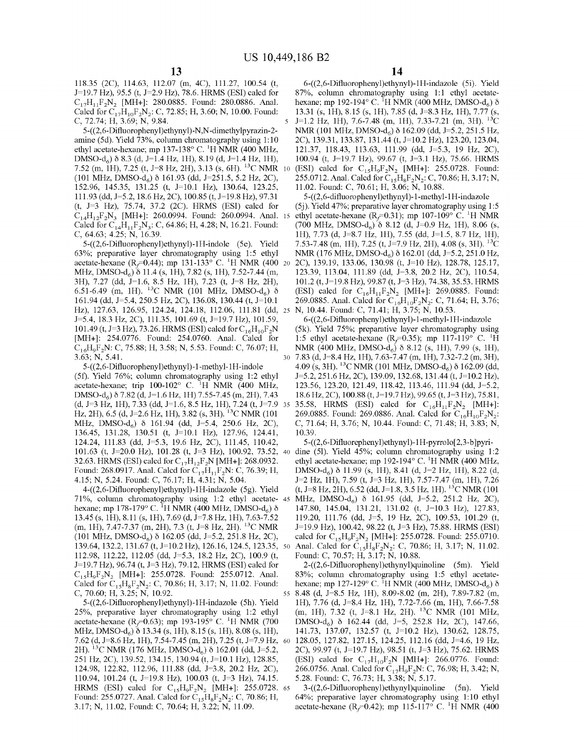118.35 (2C), 114.63, 112.07 (m, 4C), 111.27, 100.54 (t, 1=19.7 Hz), 95.5 (t, *1=2.9* Hz), 78.6. HRMS (ESI) calcd for  $C_{17}H_{11}F_2N_2$  [MH+]: 280.0885. Found: 280.0886. Anal. Calcd for  $C_{17}H_{10}F_2N_2$ : C, 72.85; H, 3.60; N, 10.00. Found: C, 72.74; H, 3.69; N, 9.84.

5-((2,6-Difluorophenyl)ethynyl)-N,N-dimethylpyrazin-2amine (5d). Yield 73%, colunm chromatography using 1:10 ethyl acetate-hexane; mp  $137-138^\circ$  C.  $^{1}$ H NMR (400 MHz, DMSO-d<sub>6</sub>)  $\delta$  8.3 (d, J=1.4 Hz, 1H), 8.19 (d, J=1.4 Hz, 1H), 7.52 (m, lH), 7.25 (t, 1=8 Hz, 2H), 3.13 (s, 6H). 13C NMR 10 (101 MHz, DMSO- $d_6$ )  $\delta$  161.93 (dd, J=251.5, 5.2 Hz, 2C), 152.96, 145.35, 131.25 (t, 1=10.1 Hz), 130.64, 123.25, 111.93 (dd, *1=5.2,* 18.6 Hz, 2C), 100.85 (t, 1=19.8 Hz), 97.31 (t, *1=3* Hz), 75.74, 37.2 (2C). HRMS (ESI) calcd for  $C_{14}H_{12}F_2N_3$  [MH+]: 260.0994. Found: 260.0994. Anal. 15 Calcd for  $C_{14}H_{11}F_2N_3$ : C, 64.86; H, 4.28; N, 16.21. Found: C, 64.63; 4.25; N, 16.39.

5-((2,6-Difluorophenyl)ethynyl)-lH-indole (Se). Yield 63%; preparative layer chromatography using 1:5 ethyl  $\frac{1}{2}$  acetate-hexane (R<sub>f</sub>=0.44); mp 131-133° C. <sup>1</sup>H NMR (400 20) MHz, DMSO-d<sub>6</sub>)  $\delta$  11.4 (s, 1H), 7.82 (s, 1H), 7.52-7.44 (m, 3H), 7.27 (dd, *1=1.6,* 8.5 Hz, lH), 7.23 (t, 1=8 Hz, 2H), 6.51-6.49 (m, 1H). <sup>13</sup>C NMR (101 MHz, DMSO-d<sub>6</sub>)  $\delta$ 161.94 (dd, *1=5.4,* 250.5 Hz, 2C), 136.08, 130.44 (t, 1=10.1 Hz), 127.63, 126.95, 124.24, 124.18, 112.06, 111.81 (dd, 25 *1=5.4,* 18.3 Hz, 2C), 111.35, 101.69 (t, 1=19.7 Hz), 101.59, 101.49 (t, J=3 Hz), 73.26. HRMS (ESI) calcd for  $C_{16}H_{10}F_2N$ [MH<sub>+</sub>]: 254.0776. Found: 254.0760. Anal. Calcd for  $C_{16}H_9F_2N$ : C, 75.88; H, 3.58; N, 5.53. Found: C, 76.07; H, 3.63; N, 5.41.

5-((2,6-Difluorophenyl)ethynyl)-1-methyl-lH-indole (5f). Yield 76%; colunm chromatography using 1:2 ethyl acetate-hexane; trip  $100-102^\circ$  C. <sup>1</sup>H NMR (400 MHz, DMSO-d<sub>6</sub>) δ 7.82 (d, J=1.6 Hz, 1H) 7.55-7.45 (m, 2H), 7.43 (d, *1=3* Hz, lH), 7.33 (dd, *1=1.6,* 8.5 Hz, lH), 7.24 (t, *1=7.9* 35 Hz, 2H), 6.5 (d, J=2.6 Hz, 1H), 3.82 (s, 3H). <sup>13</sup>C NMR (101 MHz, DMSO-d<sub>6</sub>)  $\delta$  161.94 (dd, J=5.4, 250.6 Hz, 2C), 136.45, 131.28, 130.51 (t, 1=10.1 Hz), 127.96, 124.41, 124.24, 111.83 (dd, *1=5.3,* 19.6 Hz, 2C), 111.45, 110.42, 101.63 (t, *1=20.0* Hz), 101.28 (t, *1=3* Hz), 100.92, 73.52, 40 dine (51). Yield 45%; column chromatography using 1:2 32.63. HRMS (ESI) calcd for  $C_{17}H_{12}F_2N$  [MH+]: 268.0932. Found: 268.0917. Anal. Calcd for  $C_{17}H_{11}F_2N$ : C, 76.39; H, 4.15; N, 5.24. Found: C, 76.17; H, 4.31; N, 5.04.

4-((2,6-Difluorophenyl)ethynyl)-lH-indazole (5g). Yield 71 %, colunm chromatography using 1:2 ethyl acetate- 45 hexane; mp  $178-179^{\circ}$  C.  $^{1}$ H NMR (400 MHz, DMSO-d<sub>6</sub>)  $\delta$ 13.45 (s, lH), 8.11 (s, lH), 7.69 (d, 1=7.8 Hz, lH), 7.63-7.52 (m, lH), 7.47-7.37 (m, 2H), 7.3 (t, 1=8 Hz, 2H). 13C NMR (101 MHz, DMSO-d<sub>6</sub>)  $\delta$  162.05 (dd, J=5.2, 251.8 Hz, 2C), 139.64, 132.2, 131.67 (t, 1=10.2 Hz), 126.16, 124.5, 123.35, 50 112.98, 112.22, 112.05 (dd, *1=5.3,* 18.2 Hz, 2C), 100.9 (t, 1=19.7 Hz), 96.74 (t, *1=3* Hz), 79.12, HRMS (ESI) calcd for  $C_{15}H_9F_2N_2$  [MH+]: 255.0728. Found: 255.0712. Anal. Calcd for  $C_{15}H_8F_2N_2$ : C, 70.86; H, 3.17; N, 11.02. Found: C, 70.60; H, 3.25; N, 10.92.

5-((2,6-Difluorophenyl)ethynyl)-lH-indazole (5h). Yield 25%, preparative layer chromatography using 1:2 ethyl  $\frac{1}{2}$  acetate-hexane (R<sub>f</sub>=0.63); mp 193-195° C. <sup>1</sup>H NMR (700) MHz, DMSO-d<sub>6</sub>)  $\delta$  13.34 (s, 1H), 8.15 (s, 1H), 8.08 (s, 1H), 7 .62 ( d, 1=8.6 Hz, lH), 7 .54-7.45 (m, 2H), 7 .25 (t, *1=7* .9 Hz, 60 2H). <sup>13</sup>C NMR (176 MHz, DMSO-d<sub>6</sub>)  $\delta$  162.01 (dd, J=5.2, 251 Hz, 2C), 139.52, 134.15, 130.94 (t, 1=10.1 Hz), 128.85, 124.98, 122.82, 112.96, 111.88 (dd, 1=3.8, 20.2 Hz, 2C), 110.94, 101.24 (t, 1=19.8 Hz), 100.03 (t, *1=3* Hz), 74.15. HRMS (ESI) calcd for  $C_{15}H_9F_2N_2$  [MH+]: 255.0728. 65 Found: 255.0727. Anal. Calcd for  $C_{15}H_8F_2N_2$ : C, 70.86; H, 3.17; N, 11.02, Found: C, 70.64; H, 3.22; N, 11.09.

6-((2,6-Difluorophenyl)ethynyl)-lH-indazole (5i). Yield 87%, column chromatography using 1:1 ethyl acetatehexane; mp  $192-194^{\circ}$  C.  $^{1}$ H NMR (400 MHz, DMSO-d<sub>6</sub>)  $\delta$ 13.31 (s, lH), 8.15 (s, lH), 7.85 (d, 1=8.3 Hz, lH), 7.77 (s, J=1.2 Hz, 1H), 7.6-7.48 (m, 1H), 7.33-7.21 (m, 3H). <sup>13</sup>C NMR (101 MHz, DMSO-d<sub>6</sub>)  $\delta$  162.09 (dd, J=5.2, 251.5 Hz, 2C), 139.31, 133.87, 131.44 (t, 1=10.2 Hz), 123.20, 123.04, 121.37, 118.43, 113.63, 111.99 (dd, *1=5.3,* 19 Hz, 2C), 100.94 (t, 1=19.7 Hz), 99.67 (t, 1=3.1 Hz), 75.66. HRMS (ESI) calcd for  $C_{15}H_{9}F_{2}N_{2}$  [MH+]: 255.0728. Found: 255.0712. Anal. Calcd for C<sub>15</sub>H<sub>8</sub>F<sub>2</sub>N<sub>2</sub>: C, 70.86; H, 3.17; N, 11.02. Found: C, 70.61; H, 3.06; N, 10.88.

5-((2,6-difluorophenyl)ethynyl)-1-methyl-1 H-indazole (5j). Yield 47%; preparative layer chromatography using 1 :5 ethyl acetate-hexane  $(R_f=0.31)$ ; mp  $107-109^\circ$  C. <sup>1</sup>H NMR (700 MHz, DMSO-d<sub>6</sub>)  $\delta$  8.12 (d, J=0.9 Hz, 1H), 8.06 (s, lH), 7.73 (d, 1=8.7 Hz, lH), 7.55 (dd, *1=1.5,* 8.7 Hz, lH), 7 .53-7.48 (m, lH), 7 .25 (t, *1=7* .9 Hz, 2H), 4.08 (s, 3H). 13C NMR (176 MHz, DMSO-d<sub>6</sub>) δ 162.01 (dd, J=5.2, 251.0 Hz, 2C), 139.19, 133.06, 130.98 (t, 1=10 Hz), 128.78, 125.17, 123.39, 113.04, 111.89 (dd, 1=3.8, 20.2 Hz, 2C), 110.54, 101.2 (t, 1=19.8 Hz), 99.87 (t, *1=3* Hz), 74.38, 35.53. HRMS (ESI) calcd for  $C_{16}H_{11}F_2N_2$  [MH+]: 269.0885. Found: 269.0885. Anal. Calcd for  $C_{16}H_{10}F_2N_2$ : C, 71.64; H, 3.76; N, 10.44. Found: C, 71.41; H, 3.75; N, 10.53.

6-((2,6-Difluorophenyl)ethynyl)-1-methyl-lH-indazole (5k). Yield 75%; preparative layer chromatography using 1:5 ethyl acetate-hexane  $(R_f=0.35)$ ; mp  $117-119^{\circ}$  C. <sup>1</sup>H NMR (400 MHz, DMSO-d<sub>6</sub>)  $\delta$  8.12 (s, 1H), 7.99 (s, 1H), 3.63; N, 5.41. 30 7.83 (d, 1=8.4 Hz, lH), 7.63-7.47 (m, lH), 7.32-7.2 (m, 3H), 4.09 (s, 3H). <sup>13</sup>C NMR (101 MHz, DMSO-d<sub>6</sub>)  $\delta$  162.09 (dd, *1=5.2,* 251.6 Hz, 2C), 139.09, 132.68, 131.44 (t, 1=10.2 Hz), 123.56, 123.20, 121.49, 118.42, 113.46, 111.94 (dd, *1=5.2,*  18.6 Hz, 2C), 100.88 (t, 1=19.7 Hz), 99.65 (t, *1=3* Hz), 75.81, 35.58, HRMS (ESI) calcd for  $C_{16}H_{11}F_2N_2$  [MH+]: 269.0885. Found: 269.0886. Anal. Calcd for  $C_{16}H_{10}F_2N_2$ : C, 71.64; H, 3.76; N, 10.44. Found: C, 71.48; H, 3.83; N, 10.39.

5-((2,6-Difluorephenyl)ethynyl)-1 H-pyrrolo[2,3-b ]pyriethyl acetate-hexane; mp  $192-194^\circ$  C.  $^{1}$ H NMR (400 MHz, DMSO-d<sub>6</sub>) δ 11.99 (s, 1H), 8.41 (d, J=2 Hz, 1H), 8.22 (d, *1=2* Hz, lH), 7.59 (t, *1=3* Hz, lH), 7.57-7.47 (m, lH), 7.26  $(t, J=8 Hz, 2H), 6.52 (dd, J=1.8, 3.5 Hz, 1H).$  <sup>13</sup>C NMR (101) MHz, DMSO-d<sub>6</sub>)  $\delta$  161.95 (dd, J=5.2, 251.2 Hz, 2C), 147.80, 145.04, 131.21, 131.02 (t, 1=10.3 Hz), 127.83, 119.20, 111.76 (dd, *1=5,* 19 Hz, 2C), 109.53, 101.29 (t, 1=19.9 Hz), 100.42, 98.22 (t, *1=3* Hz), 75.88. HRMS (ESI) calcd for  $C_{15}H_9F_2N_2$  [MH+]: 255.0728. Found: 255.0710. Anal. Calcd for  $\bar{C}_{15}H_8F_2N_2$ : C, 70.86; H, 3.17; N, 11.02. Found: C, 70.57; H, 3.17; N, 10.88.

2-((2,6-Difluorophenyl)ethynyl)quinoline (5m). Yield 83%; column chromatography using 1:5 ethyl acetatehexane; mp  $127-129^{\circ}$  C.  $^{1}$ H NMR (400 MHz, DMSO-d<sub>6</sub>)  $\delta$ 55 8.48 (d, 1=8.5 Hz, lH), 8.09-8.02 (m, 2H), 7.89-7.82 (m, lH), 7.76 (d, 1=8.4 Hz, lH), 7.72-7.66 (m, lH), 7.66-7.58 (m, lH), 7.32 (t, 1=8.1 Hz, 2H). 13C NMR (101 MHz, DMSO-d<sub>6</sub>)  $\delta$  162.44 (dd, J=5, 252.8 Hz, 2C), 147.66, 141.73, 137.07, 132.57 (t, 1=10.2 Hz), 130.62, 128.75, 128.05, 127.82, 127.15, 124.25, 112.16 (dd, *1=4.6,* 19 Hz, 2C), 99.97 (t, 1=19.7 Hz), 98.51 (t, *1=3* Hz), 75.62. HRMS (ESI) calcd for  $C_{17}H_{10}F_2N$  [MH+]: 266.0776. Found: 266.0756. Anal. Calcd for  $\bar{C}_{17}H_9F_2N$ : C, 76.98; H, 3.42; N, 5.28. Found: C, 76.73; H, 3.38; N, 5.17.

3-((2,6-Difluorophenyl)ethynyl)quinoline (5n). Yield 64%; preparative layer chromatography using 1:10 ethyl acetate-hexane  $(R_f=0.42)$ ; mp 115-117° C. <sup>1</sup>H NMR (400)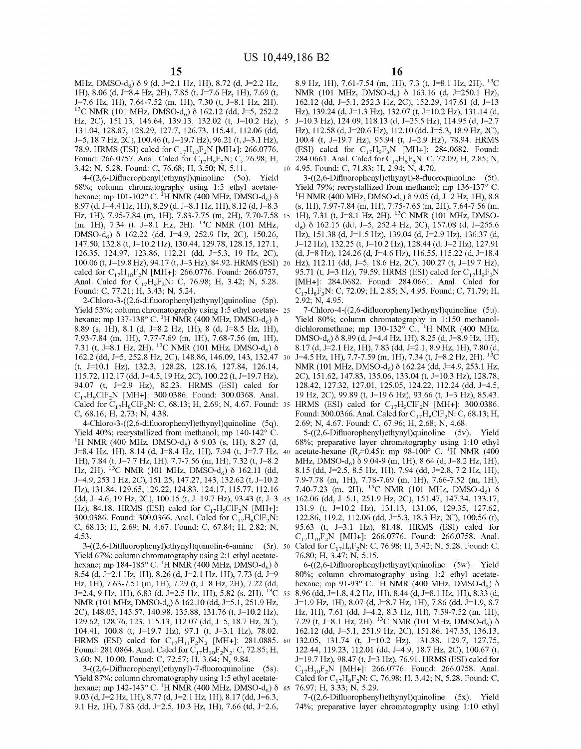MHz, DMSO-d<sub>6</sub>)  $\delta$  9 (d, J=2.1 Hz, 1H), 8.72 (d, J=2.2 Hz, lH), 8.06 (d, 1=8.4 Hz, 2H), 7.85 (t, *1=7.6* Hz, lH), 7.69 (t, *1*=7.6 Hz, 1H), 7.64-7.52 (m, 1H), 7.30 (t, J=8.1 Hz, 2H). <sup>13</sup>C NMR (101 MHz, DMSO-d<sub>6</sub>)  $\delta$  162.12 (dd, J=5, 252.2 Hz, 2C), 151.13, 146.64, 139.13, 132.02 (t, 1=10.2 Hz), 5 131.04, 128.87, 128.29, 127.7, 126.73, 115.41, 112.06 (dd, *1=5,* 18.7 Hz, 2C), 100.46 (t, 1=19.7 Hz), 96.21 (t, 1=3.1 Hz), 78.9. HRMS (ESI) calcd for  $C_{17}H_{10}F_2N$  [MH+]: 266.0776. Found: 266.0757. Anal. Calcd for  $C_{17}H_9F_2N$ ; C, 76.98; H,

3.42; N, 5.28. Found: C, 76.68; H, 3.50; N, 5.11.<br>4-((2,6-Difluorophenyl)ethynyl)quinoline (50). Yield  $4-((2,6-Difluorophenyl)ethynyl)$ quinoline (5o). 68%; column chromatography using 1:5 ethyl acetatehexane; mp 101-102° C. <sup>1</sup>H NMR (400 MHz, DMSO-d<sub>6</sub>)  $\delta$ 8.97 (d, *1=4.4* Hz, lH), 8.29 (d, 1=8.1 Hz, lH), 8.12 (d, 1=8.3 Hz, lH), 7.95-7.84 (m, lH), 7.83-7.75 (m, 2H), 7.70-7.58 15  $(m, 1H)$ , 7.34 (t, J=8.1 Hz, 2H). <sup>13</sup>C NMR (101 MHz, DMSO-d<sub>6</sub>) δ 162.22 (dd, J=4.9, 252.9 Hz, 2C), 150.26, 147.50, 132.8 (t, 1=10.2 Hz), 130.44, 129.78, 128.15, 127.1, 126.35, 124.97, 123.86, 112.21 (dd, *1=5.3,* 19 Hz, 2C), 100.06 (t, 1=19.8 Hz), 94.17 (t, *1=3* Hz), 84.92. HRMS (ESI) 20 calcd for  $C_{17}H_{10}F_2N$  [MH+]: 266.0776. Found: 266.0757, Anal. Calcd for  $C_{17}H_9F_2N$ : C, 76.98; H, 3.42; N, 5.28. Found: C, 77.21; H, 3.43; N, 5.24.

2-Chloro-3-( (2,6-difluorophenyl)ethynyl)quinoline (5p ). Yield 53%; column chromatography using 1:5 ethyl acetate- 25 hexane; mp 137-138° C. <sup>1</sup>H NMR (400 MHz, DMSO-d<sub>6</sub>)  $\delta$ 8.89 (s, lH), 8.1 (d, 1=8.2 Hz, lH), 8 (d, 1=8.5 Hz, lH), 7.93-7.84 (m, lH), 7.77-7.69 (m, lH), 7.68-7.56 (m, lH), 7.31 (t, J=8.1 Hz, 2H). <sup>13</sup>C NMR (101 MHz, DMSO-d<sub>6</sub>)  $\delta$ 162.2 (dd, *1=5,* 252.8 Hz, 2C), 148.86, 146.09, 143, 132.47 30 (t, 1=10.1 Hz), 132.3, 128.28, 128.16, 127.84, 126.14, 115.72, 112.17 (dd, *1=4.5,* 19 Hz, 2C), 100.22 (t, 1=19.7 Hz), 94.07 (t, *1=2.9* Hz), 82.23. HRMS (ESI) calcd for  $C_{17}H_9CIF_2N$  [MH+]: 300.0386. Found: 300.0368. Anal. Calcd for  $C_{17}H_8$ ClF<sub>2</sub>N: C, 68.13; H, 2.69; N, 4.67. Found: 35 HRMS (ESI) calcd for  $C_{17}H_9$ ClF<sub>2</sub>N [MH+]: 300.0386. C, 68.16; H, 2.73; N, 4.38.

4-Chloro-3-((2,6-difluorophenyl)ethynyl)quinoline (5q). Yield 40%; recrystallized from methanol; mp  $140-142^{\circ}$  C. <sup>1</sup>H NMR (400 MHz, DMSO-d<sub>6</sub>)  $\delta$  9.03 (s, 1H), 8.27 (d, 1=8.4 Hz, lH), 8.14 (d, 1=8.4 Hz, lH), 7.94 (t, *1=7.7* Hz, 40 lH), 7.84 (t, *1=7.7* Hz, lH), 7.7-7.56 (m, lH), 7.32 (t, 1=8.2 Hz, 2H). <sup>13</sup>C NMR (101 MHz, DMSO-d<sub>6</sub>)  $\delta$  162.11 (dd, *1=4.9,* 253.1 Hz, 2C), 151.25, 147.27, 143, 132.62 (t, 1=10.2 Hz), 131.84, 129.65, 129.22, 124.83, 124.17, 115.77, 112.16 (dd, *1=4.6,* 19 Hz, 2C), 100.15 (t, 1=19.7 Hz), 93.43 (t, *1=3* 45 Hz), 84.18. HRMS (ESI) calcd for  $C_{17}H_9ClF_2N$  [MH+]: 300.0386. Found: 300.0366. Anal. Calcd for  $C_{17}H_{2}CIF_{2}N$ : C, 68.13; H, 2.69; N, 4.67. Found: C, 67.84; H, 2.82; N, 4.53.

3-((2,6-Ditfluorophenyl)ethynyl)quinolin-6-amine (5r). Yield 67%; column chromatography using 2:1 ethyl acetatehexane; mp 184-185° C. <sup>1</sup>H NMR (400 MHz, DMSO-d<sub>6</sub>)  $\delta$ 8.54 (d, 1=2.1 Hz, lH), 8.26 (d, 1=2.1 Hz, lH), 7.73 (d, *1=9*  Hz, lH), 7.63-7.51 (m, lH), 7.29 (t, 1=8 Hz, 2H), 7.22 (dd, *J*=2.4, 9 Hz, 1H), 6.83 (d, *J*=2.5 Hz, 1H), 5.82 (s, 2H). <sup>13</sup>C 55 NMR (101 MHz, DMSO-d<sub>6</sub>)  $\delta$  162.10 (dd, J=5.1, 251.9 Hz, 2C), 148.05, 145.57, 140.98, 135.88, 131.76 (t, 1=10.2 Hz), 129.62, 128.76, 123, 115.13, 112.07 (dd, *1=5,* 18.7 Hz, 2C), 104.41, 100.8 (t, 1=19.7 Hz), 97.1 (t, 1=3.1 Hz), 78.02. HRMS (ESI) calcd for  $C_{17}H_{11}F_2N_2$  [MH+]: 281.0885. 60 Found: 281.0864. Anal. Calcd for  $C_{17}H_{10}F_2N_2$ : C, 72.85; H, 3.60; N, 10.00. Found: C, 72.57; H, 3.64; N, 9.84.

3-((2,6-Difluorophenyl)ethynyl)-7-fluoroquinoline (5s ). Yield 87%; column chromatography using 1:5 ethyl acetatehexane; mp 142-143° C. <sup>1</sup>H NMR (400 MHz, DMSO-d<sub>6</sub>)  $\delta$ 9.03 (d, *1=2* Hz, lH), 8.77 (d, 1=2.1 Hz, lH), 8.17 (dd, *1=6.3,*  9.1 Hz, lH), 7.83 (dd, *1=2.5,* 10.3 Hz, lH), 7.66 (td, *1=2.6,* 

8.9 Hz, 1H), 7.61-7.54 (m, 1H), 7.3 (t, J=8.1 Hz, 2H). <sup>13</sup>C NMR (101 MHz, DMSO-d<sub>6</sub>)  $\delta$  163.16 (d, J=250.1 Hz), 162.12 (dd, 1=5.1, 252.3 Hz, 2C), 152.29, 147.61 (d, *1=13*  Hz), 139.24 (d, *1=1.3* Hz), 132.07 (t, 1=10.2 Hz), 131.14 (d, 1=10.3 Hz), 124.09, 118.13 (d, *1=25.5* Hz), 114.95 (d, *1=2.7*  Hz), 112.58 (d, *1=20.6* Hz), 112.10 (dd, *1=5.3,* 18.9 Hz, 2C), 100.4 (t, 1=19.7 Hz), 95.94 (t, *1=2.9* Hz), 78.94. HRMS (ESI) calcd for  $C_{17}H_9F_3N$  [MH+]: 284.0682. Found: 284.0661. Anal. Calcd for  $C_{17}H_8F_3N$ : C, 72.09; H, 2.85; N, 10 4.95. Found: C, 71.83; H, 2.94; N, 4.70.

3-((2,6-Difluorophenyl)ethynyl)-8-fluoroquinoline (5t). Yield 79%; recrystallized from methanol; mp 136-137° C. <sup>1</sup>H NMR (400 MHz, DMSO-d<sub>6</sub>)  $\delta$  9.05 (d, J=2 Hz, 1H), 8.8 (s, lH), 7.97-7.84 (m, lH), 7.75-7.65 (m, 2H), 7.64-7.56 (m, lH), 7.31 (t, 1=8.1 Hz, 2H). 13C NMR (101 MHz, DMSOd6) Ii 162.15 (dd, *1=5,* 252.4 Hz, 2C), 157.08 (d, *1=255.6*  Hz), 151.38 (d, *l=l.5* Hz), 139.04 (d, *1=2.9* Hz), 136.37 (d, 1=12 Hz), 132.25 (t, 1=10.2 Hz), 128.44 (d, *1=2* Hz), 127.91 (d, 1=8 Hz), 124.26 (d, *1=4.6* Hz), 116.55, 115.22 (d, 1=18.4 Hz), 112.11 (dd, *1=5,* 18.6 Hz, 2C), 100.27 (t, 1=19.7 Hz), 95.71 (t, J=3 Hz), 79.59. HRMS (ESI) calcd for  $C_{17}H_0F_3N$ [MH+]: 284.0682. Found: 284.0661. Anal. Calcd for  $C_{17}H_8F_3N$ : C, 72.09; H, 2.85; N, 4.95. Found; C, 71.79; H, 2.92; N, 4.95.

7-Chloro-4-( (2,6-difluorophenyl)ethynyl)quinoline ( *Su).*  Yield 80%; colunm chromatography in 1:150 methanoldichloromethane; mp 130-132 $^{\circ}$  C., <sup>1</sup>H NMR (400 MHz, DMSO-d<sub>6</sub>) δ 8.99 (d, J=4.4 Hz, 1H), 8.25 (d, J=8.9 Hz, 1H), 8.17 (d, 1=2.1 Hz, lH), 7.83 (dd, 1=2.1, 8.9 Hz, lH), 7.80 (d, *1=4.5* Hz, lH), 7.7-7.59 (m, lH), 7.34 (t, 1=8.2 Hz, 2H). 13C NMR (101 MHz, DMSO-d<sub>6</sub>)  $\delta$  162.24 (dd, J=4.9, 253.1 Hz, 2C), 151.62, 147.83, 135.06, 133.04 (t, 1=10.3 Hz), 128.78, 128.42, 127.32, 127.01, 125.05, 124.22, 112.24 (dd, *1=4.5,*  19 Hz, 2C), 99.89 (t, 1=19.6 Hz), 93.66 (t, *1=3* Hz), 85.43. Found: 300.0366. Anal. Calcd for  $C_{17}H_8ClF_2N$ : C, 68.13; H, 2.69; N, 4.67. Found: C, 67.96; H, 2.68; N, 4.68.

5-((2,6-Difluorophenyl)ethynyl)quinoline (5v). Yield 68%; preparative layer chromatography using 1:10 ethyl acetate-hexane ( $R_f$ =0.45); mp 98-100° C. <sup>1</sup>H NMR (400 MHz, DMSO-d<sub>6</sub>)  $\delta$  9.04-9 (m, 1H), 8.64 (d, J=8.2 Hz, 1H), 8.15 (dd, *1=2.5,* 8.5 Hz, lH), 7.94 (dd, 1=2.8, 7.2 Hz, lH), 7.9-7.78 (m, lH), 7.78-7.69 (m, lH), 7.66-7.52 (m, lH), 7.40-7.23 (m, 2H). <sup>13</sup>C NMR (101 MHz, DMSO-d<sub>6</sub>)  $\delta$ 162.06 (dd, 1=5.1, 251.9 Hz, 2C), 151.47, 147.34, 133.17, 131.9 (t, 1=10.2 Hz), 131.13, 131.06, 129.35, 127.62, 122.86, 119.2, 112.06 (dd, *1=5.3,* 18.3 Hz, 2C), 100.56 (t), 95.63 (t, 1=3.1 Hz), 81.48. HRMS (ESI) calcd for  $C_{17}H_{10}F_2N$  [MH+]: 266.0776. Found: 266.0758. Anal. Calcd for  $C_{17}H_9F_2N$ : C, 76.98; H, 3.42; N, 5.28. Found: C, 76.80; H, 3.47; N, 5.15.

6-((2,6-Difluorophenyl)ethynyl)quinoline (5w). Yield 80%; column chromatography using 1:2 ethyl acetatehexane; mp 91-93° C. <sup>1</sup>H NMR (400 MHz, DMSO-d<sub>6</sub>)  $\delta$ 55 8.96 (dd, 1=1.8, 4.2 Hz, lH), 8.44 (d, 1=8.1 Hz, lH), 8.33 (d, *l=l.9* Hz, lH), 8.07 (d, 1=8.7 Hz, lH), 7.86 (dd, *l=l.9,* 8.7 Hz, lH), 7.61 (dd, *1=4.2,* 8.3 Hz, lH), 7.59-7.52 (m, lH), 7.29 (t, J=8.1 Hz, 2H). <sup>13</sup>C NMR (101 MHz, DMSO-d<sub>6</sub>)  $\delta$ 162.12 (dd, 1=5.1, 251.9 Hz, 2C), 151.86, 147.35, 136.13, 60 132.05, 131.74 (t, 1=10.2 Hz), 131.38, 129.7, 127.75, 122.44, 119.23, 112.01 (dd, *1=4.9,* 18.7 Hz, 2C), 100.67 (t, 1=19.7 Hz), 98.47 (t, *1=3* Hz), 76.91. HRMS (ESI) calcd for  $C_{17}H_{10}F_2N$  [MH+]: 266.0776. Found: 266.0758. Anal. Calcd for  $C_{17}H_9F_2N$ : C, 76.98; H, 3.42; N, 5.28. Found: C, 76.97; H, 3.33; N, 5.29.

7-((2,6-Difluorophenyl)ethynyl)quinoline (5x). Yield 74%; preparative layer chromatography using 1:10 ethyl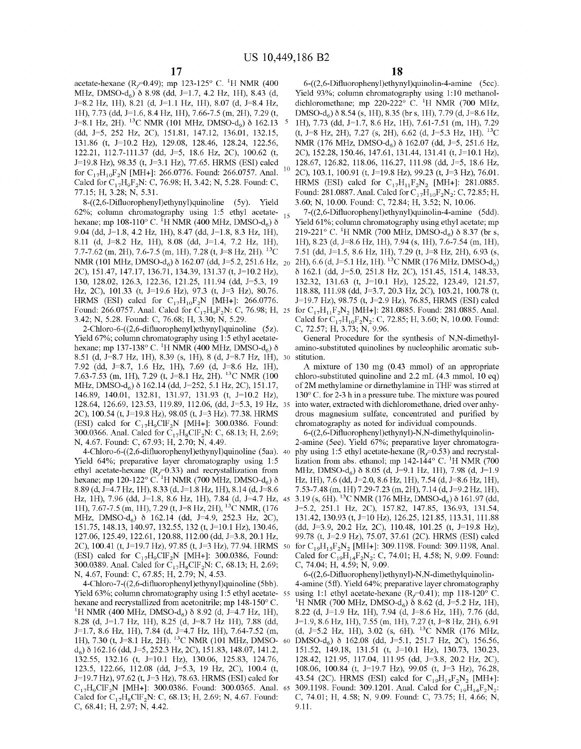acetate-hexane ( $R_f$ =0.49); mp 123-125° C. <sup>1</sup>H NMR (400 MHz, DMSO-d<sub>6</sub>)  $\delta$  8.98 (dd, J=1.7, 4.2 Hz, 1H), 8.43 (d, 1=8.2 Hz, lH), 8.21 (d, *l=l.l* Hz, lH), 8.07 (d, 1=8.4 Hz, lH), 7.73 (dd, *1=1.6,* 8.4 Hz, lH), 7.66-7.5 (m, 2H), 7.29 (t, J=8.1 Hz, 2H). <sup>13</sup>C NMR (101 MHz, DMSO-d<sub>0</sub>)  $\delta$  162.13 (dd, *1=5,* 252 Hz, 2C), 151.81, 147.12, 136.01, 132.15, 131.86 (t, 1=10.2 Hz), 129.08, 128.46, 128.24, 122.56, 122.21, 112.7-111.37 (dd, *1=5,* 18.6 Hz, 2C), 100.62 (t, 1=19.8 Hz), 98.35 (t, 1=3.1 Hz), 77.65. HRMS (ESI) calcd for  $C_{17}H_{10}F_2N$  [MH+]: 266.0776. Found: 266.0757. Anal. Calcd for  $C_{17}H_{9}F_{2}N$ : C, 76.98; H, 3.42; N, 5.28. Found: C, 77.15; H, 3.28; N, 5.31.

8-((2,6-Difluorophenyl)ethynyl)quinoline (5y). Yield 62%; column chromatography using 1:5 ethyl acetatehexane; mp 108-110° C.  $\rm ^1H$  NMR (400 MHz, DMSO-d<sub>6</sub>)  $\delta$ 9.04 (dd, 1=1.8, 4.2 Hz, lH), 8.47 (dd, 1=1.8, 8.3 Hz, lH), 8.11 (d, 1=8.2 Hz, lH), 8.08 (dd, *1=1.4,* 7.2 Hz, lH), 7.7-7.62 (m, 2H), 7.6-7.5 (m, 1H), 7.28 (t, J=8 Hz, 2H).  $^{13}$ C NMR (101 MHz, DMSO-d<sub>6</sub>)  $\delta$  162.07 (dd, J=5.2, 251.6 Hz, 20 2C), 151.47, 147.17, 136.71, 134.39, 131.37 (t, 1=10.2 Hz), 130, 128.02, 126.3, 122.36, 121.25, 111.94 (dd, *1=5.3,* 19 Hz, 2C), 101.33 (t, 1=19.6 Hz), 97.3 (t, *1=3* Hz), 80.76. HRMS (ESI) calcd for  $C_{17}H_{10}F_2N$  [MH+]: 266.0776. Found: 266.0757. Anal. Calcd for  $C_{17}H_9F_2N$ : C, 76.98; H, 25 3.42; N, 5.28. Found: C, 76.68; H, 3.30; N, 5.29.

2-Chloro-6-((2,6-difluorophenyl)ethynyl)quinoline (5z). Yield 67%; column chromatography using 1:5 ethyl acetatehexane; mp 137-138° C.  $^{1}$ H NMR (400 MHz, DMSO-d<sub>6</sub>)  $\delta$ 8.51 (d, 1=8.7 Hz, lH), 8.39 (s, lH), 8 (d, 1=8.7 Hz, lH), 30 7.92 (dd, 1=8.7, 1.6 Hz, lH), 7.69 (d, 1=8.6 Hz, lH), 7.63-7.53 (m, 1H), 7.29 (t, J=8.1 Hz, 2H). <sup>13</sup>C NMR (100 MHz, DMSO-d<sub>6</sub>)  $\delta$  162.14 (dd, J=252, 5.1 Hz, 2C), 151.17, 146.89, 140.01, 132.81, 131.97, 131.93 (t, 1=10.2 Hz), 128.64, 126.69, 123.53, 119.89, 112.06, (dd, *1=5.3,* 19 Hz, 35 2C), 100.54 (t, 1=19.8 Hz), 98.05 (t, *1=3* Hz). 77.38. HRMS (ESI) calcd for  $C_{17}H_9CIF_2N$  [MH+]: 300.0386. Found: 300.0366. Anal. Calcd for  $C_{17}H_8CIF_2N$ : C, 68.13; H, 2.69; N, 4.67. Found: C, 67.93; H, 2.70; N, 4.49.

4-Chloro-6-( (2,6-difluorophenyl)ethynyl)quinoline (Saa). 40 Yield 64%; preparative layer chromatography using 1:5 ethyl acetate-hexane ( $R_f$ =0.33) and recrystallization from hexane; mp 120-122° C. <sup>1</sup>H NMR (700 MHz, DMSO-d<sub>6</sub>)  $\delta$ 8.89 (d, *1=4.7* Hz, lH), 8.33 (d, 1=1.8 Hz, lH), 8.14 (d, 1=8.6 Hz, lH), 7.96 (dd, 1=1.8, 8.6 Hz, lH), 7.84 (d, *1=4.7* Hz, 45 lH), 7.67-7.5 (m, lH), 7.29 (t, 1=8 Hz, 2H), 13C NMR, (176 MHz, DMSO-d<sub>6</sub>) δ 162.14 (dd, J=4.9, 252.3 Hz, 2C), 151.75, 148.13, 140.97, 132.55, 132 (t, 1=10.1 Hz), 130.46, 127.06, 125.49, 122.61, 120.88, 112.00 (dd, 1=3.8, 20.1 Hz, 2C), 100.41 (t, 1=19.7 Hz), 97.85 (t, *1=3* Hz), 77.94. HRMS 50 (ESI) calcd for  $C_{17}H_9CIF_2N$  [MH+]: 300.0386, Found: 300.0389. Anal. Calcd for C<sub>17</sub>H<sub>8</sub>ClF<sub>2</sub>N: C, 68.13; H, 2.69; N, 4.67, Found: C, 67.85; H, 2.79; N, 4.53.

4-Chloro-7-((2,6-difluorophenyl)ethynyl)quinoline (5bb ). Yield 63%; column chromatography using 1:5 ethyl acetate- 55 hexane and recrystallized from acetonitrile; mp 148-150° C. <sup>1</sup>H NMR (400 MHz, DMSO-d<sub>6</sub>)  $\delta$  8.92 (d, J=4.7 Hz, 1H), 8.28 (d, *1=1.7* Hz, lH), 8.25 (d, 1=8.7 Hz lH), 7.88 (dd, *l=l.7,* 8.6 Hz, lH), 7.84 (d, *1=4.7* Hz, lH), 7.64-7.52 (m, lH), 7.30 (t, 1=8.1 Hz, 2H). 13C NMR (101 MHz, DMSO- <sup>60</sup> d<sub>6</sub>)  $\delta$  162.16 (dd, J=5, 252.3 Hz, 2C), 151.83, 148.07, 141.2, 132.55, 132.16 (t, 1=10.1 Hz), 130.06, 125.83, 124.76, 123.5, 122.66, 112.08 (dd, *1=5.3,* 19 Hz, 2C), 100.4 (t, 1=19.7 Hz), 97.62 (t, *1=3* Hz), 78.63. HRMS (ESI) calcd for  $C_{17}H_9CIF_2N$  [MH+]: 300.0386. Found: 300.0365. Anal. 65 Calcd for  $C_{17}H_8CIF_2N$ : C, 68.13; H, 2.69; N, 4.67. Found: C, 68.41; H, 2.97; N, 4.42.

6-((2,6-Difluorophenyl)ethynyl)quinolin-4-amine (5cc ). Yield 93%; colunm chromatography using 1:10 methanoldichloromethane; mp 220-222 $^{\circ}$  C. <sup>1</sup>H NMR (700 MHz, DMSO-d<sub>6</sub>)  $\delta$  8.54 (s, 1H), 8.35 (br s, 1H), 7.79 (d, J=8.6 Hz, lH), 7.73 (dd, *1=1.7,* 8.6 Hz, lH), 7.61-7.51 (m, lH), 7.29 (t, 1=8 Hz, 2H), 7.27 (s, 2H), 6.62 (d, *1=5.3* Hz, lH). 13C NMR (176 MHz, DMSO-d<sub>6</sub>) δ 162.07 (dd, J=5, 251.6 Hz, 2C), 152.28, 150.46, 147.61, 131.44, 131.41 (t, 1=10.1 Hz), 128.67, 126.82, 118.06, 116.27, 111.98 (dd, *1=5,* 18.6 Hz, 2C), 103.1, 100.91 (t, 1=19.8 Hz), 99.23 (t, *1=3* Hz), 76.01. HRMS (ESI) calcd for  $C_{17}H_{11}F_{2}N_{2}$  [MH+]: 281.0885. Found: 281.0887. Anal. Calcd for  $C_{17}H_{10}F_2N_2$ : C, 72.85; H, 3.60; N, 10.00. Found: C, 72.84; H, 3.52; N, 10.06.

7-((2,6-Difluorophenyl)ethynyl)quinolin-4-amine (5dd). Yield 61%; column chromatography using ethyl acetate; mp 219-221° C. <sup>1</sup>H NMR (700 MHz, DMSO-d<sub>6</sub>)  $\delta$  8.37 (br s, lH), 8.23 (d, 1=8.6 Hz, lH), 7.94 (s, lH), 7.6-7.54 (m, lH), 7.51 (dd, *1=1.5,* 8.6 Hz, lH), 7.29 (t, 1=8 Hz, 2H), 6.93 (s, 2H), 6.6 (d, J=5.1 Hz, 1H). <sup>13</sup>C NMR (176 MHz, DMSO-d<sub>6</sub>) Ii 162.1 (dd, *1=5.0,* 251.8 Hz, 2C), 151.45, 151.4, 148.33, 132.32, 131.63 (t, 1=10.1 Hz), 125.22, 123.49, 121.57, 118.88, 111.98 (dd, *1=3.7,* 20.3 Hz, 2C), 103.21, 100.78 (t, 1=19.7 Hz), 98.75 (t, *1=2.9* Hz), 76.85, HRMS (ESI) calcd for  $C_{17}H_{11}F_2N_2$  [MH+]: 281.0885. Found: 281.0885. Anal. Calcd for  $C_{17}H_{10}F_2N_2$ : C, 72.85; H, 3.60; N, 10.00. Found: C, 72.57; H, 3.73; N, 9.96.

General Procedure for the synthesis of N,N-dimethylamino-substituted quinolines by nucleophilic aromatic substitution.

A mixture of 130 mg (0.43 mmol) of an appropriate chloro-substituted quinoline and 2.2 mL (4.3 mmol, 10 eq) of2M methylamine or dirnethylamine in THF was stirred at 130° C. for 2-3 h in a pressure tube. The mixture was poured into water, extracted with dichloromethane, dried over anhydrous magnesium sulfate, concentrated and purified by chromatography as noted for individual compounds.

6-((2,6-Difluorophenyl)ethynyl)-N,N-dimethylquinolin-2-amine (See). Yield 67%; preparative layer chromatography using 1:5 ethyl acetate-hexane ( $R_f$ =0.53) and recrystallization from abs. ethanol; mp  $142-144^{\circ}$  C. <sup>1</sup>H NMR (700 MHz, DMSO-d<sub>6</sub>)  $\delta$  8.05 (d, J=9.1 Hz, 1H), 7.98 (d, J=1.9 Hz, lH), 7.6 (dd, *1=2.0,* 8.6 Hz, lH), 7.54 (d, 1=8.6 Hz, lH), 7.53-7.48 (m, lH) 7.29-7.23 (m, 2H), 7.14 (d, *1=9.2* Hz, lH), 3.19 (s, 6H). <sup>13</sup>C NMR (176 MHz, DMSO-d<sub>6</sub>)  $\delta$  161.97 (dd, *1=5.2,* 251.1 Hz, 2C), 157.82, 147.85, 136.93, 131.54, 131.42, 130.93 (t, 1=10 Hz), 126.25, 121.85, 113.31, 111.88 (dd, *1=3.9,* 20.2 Hz, 2C), 110.48, 101.25 (t, 1=19.8 Hz), 99.78 (t, *1=2.9* Hz), 75.07, 37.61 (2C). HRMS (ESI) calcd for  $C_{19}H_{15}F_2N_2$  [MH+]: 309.1198. Found: 309.1198, Anal. Calcd for  $C_{19}H_{14}F_2N_2$ : C, 74.01; H, 4.58; N, 9.09. Found: C, 74.04; H, 4.59; N, 9.09.

6-((2,6-Difluorophenyl)ethynyl)-N,N-dimethylquinolin-4-amine (5fl). Yield 64%; preparative layer chromatography using 1:1 ethyl acetate-hexane ( $R_f$ =0.41); mp 118-120° C. <sup>1</sup>H NMR (700 MHz, DMSO-d<sub>6</sub>)  $\delta$  8.62 (d, J=5.2 Hz, 1H), 8.22 (d, *l=l.9* Hz, lH), 7.94 (d, 1=8.6 Hz, lH), 7.76 (dd, *l=l.9,* 8.6 Hz, lH), 7.55 (m, lH), 7.27 (t, 1=8 Hz, 2H), 6.91 (d, *1=5.2* Hz, lH), 3.02 (s, 6H). 13C NMR (176 MHz, DMSO-d<sub>6</sub>)  $\delta$  162.08 (dd, J=5.1, 251.7 Hz, 2C), 156.56, 151.52, 149.18, 131.51 (t, 1=10.1 Hz), 130.73, 130.23, 128.42, 121.95, 117.04, 111.95 (dd, 1=3.8, 20.2 Hz, 2C), 108.06, 100.84 (t, 1=19.7 Hz), 99.05 (t, *1=3* Hz), 76.28, 43.54 (2C). HRMS (ESI) calcd for  $C_{19}H_{15}F_{2}N_{2}$  [MH+]: 309.1198. Found: 309.1201. Anal. Calcd for  $C_{19}H_{14}F_2N_2$ : C, 74.01; H, 4.58; N, 9.09. Found: C, 73.75; H, 4.66; N, 9.11.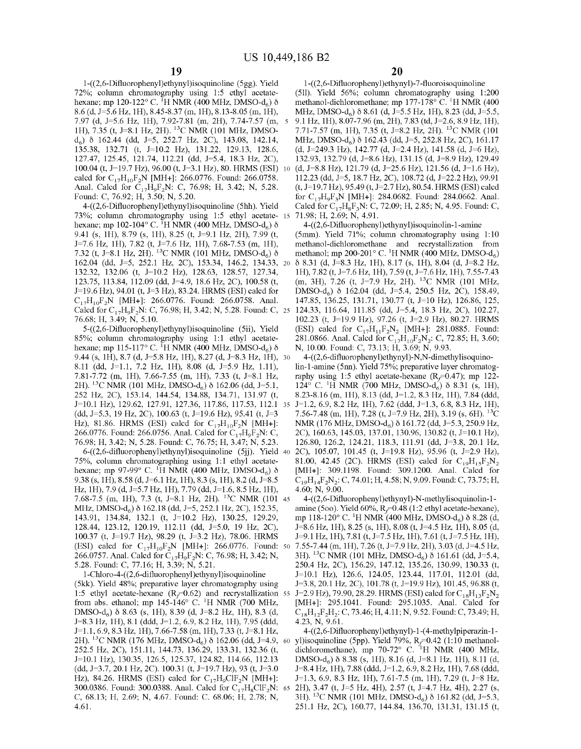1-((2,6-Difluorophenyl)ethynyl)isoquinoline (5gg). Yield 72%; column chromatography using 1:5 ethyl acetatehexane; mp 120-122° C. <sup>1</sup>H NMR (400 MHz, DMSO-d<sub>6</sub>)  $\delta$ 8.6 (d, *1=5.6* Hz, lH), 8.45-8.37 (m, lH), 8.13-8.05 (m, lH), 7.97 (d, *1=5.6* Hz, lH), 7.92-7.81 (m, 2H), 7.74-7.57 (m, 5 lH), 7.35 (t, 1=8.1 Hz, 2H). 13C NMR (101 MHz, DMSOd6) Ii 162.44 (dd, *1=5,* 252.7 Hz, 2C), 143.08, 142.14, 135.38, 132.71 (t, 1=10.2 Hz), 131.22, 129.13, 128.6, 127.47, 125.45, 121.74, 112.21 (dd, *1=5.4,* 18.3 Hz, 2C), 100.04 (t, 1=19.7 Hz), 96.00 (t, 1=3.1 Hz), 80. HRMS (ESI) 10 calcd for  $C_{17}H_{10}F_2N$  [MH+]: 266.0776. Found: 266.0758. Anal. Calcd for  $C_{17}H_9F_2N$ : C, 76.98; H, 3.42; N, 5.28. Found: C, 76.92; H, 3.50; N, 5.20.

4-((2,6-Difluorophenyl)ethynyl)isoquinoline (Shh). Yield 73%; column chromatography using 1:5 ethyl acetate- 15 hexane; mp 102-104° C. <sup>1</sup>H NMR (400 MHz, DMSO-d<sub>6</sub>)  $\delta$ 9.41 (s, lH), 8.79 (s, lH), 8.25 (t, *1=9.l* Hz, 2H), 7.99 (t, *1=7.6* Hz, lH), 7.82 (t, *1=7.6* Hz, lH), 7.68-7.53 (m, lH), 7.32 (t, J=8.1 Hz, 2H). <sup>13</sup>C NMR (101 MHz, DMSO-d<sub>6</sub>)  $\delta$ 162.04 (dd, *1=5,* 252.1 Hz, 2C), 153.34, 146.2, 134.33, 20 132.32, 132.06 (t, 1=10.2 Hz), 128.63, 128.57, 127.34, 123.75, 113.84, 112.09 (dd, *1=4.9,* 18.6 Hz, 2C), 100.58 (t, 1=19.6 Hz), 94.01 (t, *1=3* Hz), 83.24. HRMS (ESI) calcd for  $C_{17}H_{10}F_2N$  [MH+]: 266.0776. Found: 266.0758. Anal. Calcd for  $C_{17}H_9F_2N$ : C, 76.98; H, 3.42; N, 5.28. Found: C, 25 76.68; H, 3.49; N, 5.10.

5-((2,6-Difluorophenyl)ethynyl)isoquinoline (5ii), Yield 85%; column chromatography using 1:1 ethyl acetatehexane; mp 115-117° C. <sup>1</sup>H NMR (400 MHz, DMSO-d<sub>6</sub>)  $\delta$ 9.44 (s, lH), 8.7 (d, 1=5.8 Hz, lH), 8.27 (d, 1=8.3 Hz, lH), 30 8.11 (dd, *1=1.1,* 7.2 Hz, lH), 8.08 (d, *1=5.9* Hz, 1.11), 7.81-7.72 (m, lH), 7.66-7.55 (m, lH), 7.33 (t, 1=8.1 Hz, 2H). <sup>13</sup>C NMR (101 MHz, DMSO-d<sub>6</sub>)  $\delta$  162.06 (dd, J=5.1, 252 Hz, 2C), 153.14, 144.54, 134.88, 134.71, 131.97 (t, 1=10.1 Hz), 129.62, 127.91, 127.36, 117.86, 117.53, 112.1 35 (dd, *1=5.3,* 19 Hz, 2C), 100.63 (t, 1=19.6 Hz), 95.41 (t, *1=3*  Hz), 81.86. HRMS (ESI) calcd for  $C_{17}H_{10}F_2N$  [MH+]: 266.0776. Found: 266.0756. Anal. Calcd for  $C_{17}H_9F_2N$ : C, 76.98; H, 3.42; N, 5.28. Found: C, 76.75; H, 3.47; N, 5.23.

6-((2,6-difluorophenyl)ethynyl)isoquinoline (5jj). Yield 40 75%, column chromatographing using 1:1 ethyl acetatehexane; mp 97-99 $^{\circ}$  C. <sup>1</sup>H NMR (400 MHz, DMSO-d<sub>6</sub>)  $\delta$ 9.38 (s, lH), 8.58 (d, 1=6.1 Hz, lH), 8.3 (s, lH), 8.2 (d, 1=8.5 Hz, lH), 7.9 (d, *1=5.7* Hz, lH), 7.79 (dd, *1=1.6,* 8.5 Hz, lH), 7.68-7.5 (m, 1H), 7.3 (t, J=8.1 Hz, 2H). <sup>13</sup>C NMR (101 45 MHz, DMSO-d<sub>6</sub>)  $\delta$  162.18 (dd, J=5, 252.1 Hz, 2C), 152.35, 143.91, 134.84, 132.1 (t, 1=10.2 Hz), 130.25, 129.29, 128.44, 123.12, 120.19, 112.11 (dd, *1=5.0,* 19 Hz, 2C), 100.37 (t, 1=19.7 Hz), 98.29 (t, *1=3.2* Hz), 78.06. HRMS (ESI) calcd for  $C_{17}H_{10}F_2N$  [MH+]: 266.0776. Found: 50 266.0757. Anal. Calcd for  $C_{17}H_9F_2N$ : C, 76.98; H, 3.42; N, 5.28. Found: C, 77.16; H, 3.39; N, 5.21.

l -Chloro-4-( (2,6-difluorophenyl )ethyny l)isoquinoline (5kk). Yield 48%; preparative layer chromatography using 1:5 ethyl acetate-hexane  $(R_f=0.62)$  and recrystallization 55 J=2.9 Hz), 79.90, 28.29. HRMS (ESI) calcd for  $C_{18}H_{13}F_2N_2$ from abs. ethanol; mp  $145-146^{\circ}$  C. <sup>1</sup>H NMR (700 MHz, DMSO-d<sub>6</sub>)  $\delta$  8.63 (s, 1H), 8.39 (d, J=8.2 Hz, 1H), 8.3 (d, 1=8.3 Hz, lH), 8.1 (ddd, *1=1.2,* 6.9, 8.2 Hz, lH), 7.95 (ddd, *l=l.l,* 6.9, 8.3 Hz, lH), 7.66-7.58 (m, lH), 7.33 (t, 1=8.1 Hz, 2H). <sup>13</sup>C NMR (176 MHz, DMSO-d<sub>6</sub>)  $\delta$  162.06 (dd, J=4.9, 60 252.5 Hz, 2C), 151.11, 144.73, 136.29, 133.31, 132.36 (t, 1=10.1 Hz), 130.35, 126.5, 125.37, 124.82, 114.66, 112.13 (dd, *1=3.7,* 20.1 Hz, 2C). 100.31 (t, 1=19.7 Hz), 93 (t, *1=3.0*  Hz), 84.26. HRMS (ESI) calcd for  $C_{17}H_9CIF_2N$  [MH+]: 300.0386. Found: 300.0388. Anal. Calcd for  $C_{17}H_8ClF_2N$ : 65 C, 68.13; H, 2.69; N, 4.67. Found: C. 68.06; H, 2.78; N, 4.61.

**20** 

1-((2,6-Difluorophenyl)ethynyl)-7-fluoroisoquinoline (511). Yield 56%; column chromatography using 1:200 methanol-dichloromethane; mp  $177-178^{\circ}$  C. <sup>1</sup>H NMR (400) MHz, DMSO-d<sub>6</sub>)  $\delta$  8.61 (d, J=5.5 Hz, 1H), 8.23 (dd, J=5.5, 9.1 Hz, lH), 8.07-7.96 (m, 2H), 7.83 (td, *1=2.6,* 8.9 Hz, lH), 7.71-7.57 (m, lH), 7.35 (t, 1=8.2 Hz, 2H). 13C NMR (101 MHz, DMSO-d<sub>6</sub>)  $\delta$  162.43 (dd, J=5, 252.8 Hz, 2C), 161.17 (d, *1=249.3* Hz), 142.77 (d, *1=2.4* Hz), 141.58 (d, *1=6* Hz), 132.93, 132.79 (d, 1=8.6 Hz), 131.15 (d, 1=8.9 Hz), 129.49 (d, 1=8.8 Hz), 121.79 (d, *1=25.6* Hz), 121.56 (d, *l=l.6* Hz), 112.23 (dd, *1=5,* 18.7 Hz, 2C), 108.72 (d, *1=22.2* Hz), 99.91 (t, 1=19.7 Hz), 95.49 (t, *1=2.7* Hz), 80.54. HRMS (ESI) calcd for  $C_{17}H_9F_3N$  [MH+]: 284.0682. Found: 284.0662. Anal. Calcd for  $C_{17}H_8F_3N$ : C, 72.09; H, 2.85; N, 4.95. Found: C, 71.98; H, 2.69; N, 4.91.

4-((2,6-Difluorophenyl)ethynyl)isoquinolin-1-amine (5mm). Yield 71%; column chromatography using 1:10 methanol-dichloromethane and recrystallization from methanol; mp 200-201 $^{\circ}$  C. <sup>1</sup>H NMR (400 MHz, DMSO-d<sub>6</sub>)  $\delta$  8.31 (d, J=8.3 Hz, 1H), 8.17 (s, 1H), 8.04 (d, J=8.2 Hz, lH), 7.82 (t, *1=7.6* Hz, lH), 7.59 (t, *1=7.6* Hz, lH), 7.55-7.43 (m, 3H), 7.26 (t, *1=7.9* Hz, 2H). 13C NMR (101 MHz, DMSO-d<sub>6</sub>)  $\delta$  162.04 (dd, J=5.4, 250.5 Hz, 2C), 158.49, 147.85, 136.25, 131.71, 130.77 (t, 1=10 Hz), 126.86, 125, 124.33, 116.64, 111.85 (dd, *1=5.4,* 18.3 Hz, 2C), 102.27, 102.23 (t, 1=19.9 Hz), 97.26 (t, *1=2.9* Hz), 80.27. HRMS (ESI) calcd for  $C_{17}H_{11}F_2N_2$  [MH+]: 281.0885. Found: 281.0866. Anal. Calcd for  $C_{17}H_{10}F_2N_2$ : C, 72.85; H, 3.60; N, 10.00. Found: C, 73.13; H, 3.69; N, 9.93.

4-((2,6-difluorophenyl)ethynyl)-N,N-dimethylisoquinolin-1-amine (5nn). Yield 75%; preparative layer chromatography using 1:5 ethyl acetate-hexane ( $R_f$ =0.47); mp 122- $124^{\circ}$  C. <sup>1</sup>H NMR (700 MHz, DMSO-d<sub>6</sub>)  $\delta$  8.31 (s, 1H), 8.23-8.16 (m, lH), 8.13 (dd, *1=1.2,* 8.3 Hz, lH), 7.84 (ddd, *l=l.2,* 6.9, 8.2 Hz, lH), 7.62 (ddd, *1=1.3,* 6.8, 8.3 Hz, lH), 7.56-7.48 (m, lH), 7.28 (t, *1=7.9* Hz, 2H), 3.19 (s, 6H). 13C NMR (176 MHz, DMSO-d<sub>6</sub>)  $\delta$  161.72 (dd, J=5.3, 250.9 Hz, 2C), 160.63, 145.03, 137.01, 130.96, 130.82 (t, 1=10.1 Hz), 126.80, 126.2, 124.21, 118.3, 111.91 (dd, 1=3.8, 20.1 Hz, 2C), 105.07, 101.45 (t, 1=19.8 Hz), 95.96 (t, *1=2.9* Hz), 81.00, 42.45 (2C). HRMS (ESI) calcd for  $C_{19}H_{15}F_2N_2$ [MH+]: 309.1198. Found: 309.1200. Anal. Calcd for  $C_{19}H_{14}F_2N_2$ : C, 74.01; H, 4.58; N, 9.09. Found: C, 73.75; H, 4.60; N, 9.00.

4-((2,6-Difluorophenyl)ethynyl)-N-methylisoquinolin-1 amine (500). Yield 60%,  $R_f$ =0.48 (1:2 ethyl acetate-hexane), mp 118-120° C. <sup>1</sup>H NMR (400 MHz, DMSO-d<sub>6</sub>) δ 8.28 (d, 1=8.6 Hz, lH), 8.25 (s, lH), 8.08 (t, *1=4.5* Hz, lH), 8.05 (d, *1=9.l* Hz, lH), 7.81 (t, *1=7.5* Hz, lH), 7.61 (t, *1=7.5* Hz, lH), 7.55-7.44 (m, lH), 7.26 (t, *1=7.9* Hz, 2H), 3.03 (d, *1=4.5* Hz, 3H). <sup>13</sup>C NMR (101 MHz, DMSO-d<sub>6</sub>)  $\delta$  161.61 (dd, J=5.4, 250.4 Hz, 2C), 156.29, 147.12, 135.26, 130.99, 130.33 (t, 1=10.1 Hz), 126.6, 124.05, 123.44, 117.01, 112.01 (dd, 1=3.8, 20.1 Hz, 2C), 101.78 (t, 1=19.9 Hz), 101.45, 96.88 (t, [MH+]: 295.1041. Found: 295.1035. Anal. Calcd for  $C_{18}H_{12}F_{2}H_{2}$ : C, 73.46; H, 4.11; N, 9.52. Found: C, 73.49; H, 4.23, N, 9.61.

4-((2,6-Difluorophenyl)ethynyl)-1-( 4-methylpiperazin-1 yl)isoquinoline (5pp). Yield 79%, *R<sub>f</sub>*=0.42 (1:10 methanoldichloromethane), mp  $70-72^{\circ}$  C. <sup>1</sup>H NMR (400 MHz, DMSO-d<sub>6</sub>)  $\delta$  8.38 (s, 1H), 8.16 (d, J=8.1 Hz, 1H), 8.11 (d, 1=8.4 Hz, lH), 7.88 (ddd, *1=1.2,* 6.9, 8.2 Hz, lH), 7.68 (ddd, *l=l.3,* 6.9, 8.3 Hz, lH), 7.61-7.5 (m, lH), 7.29 (t, 1=8 Hz, 2H), 3.47 (t, *1=5* Hz, 4H), 2.57 (t, *1=4.7* Hz, 4H), 2.27 (s, 3H). <sup>13</sup>C NMR (101 MHz, DMSO-d<sub>6</sub>)  $\delta$  161.82 (dd, J=5.3, 251.1 Hz, 2C), 160.77, 144.84, 136.70, 131.31, 131.15 (t,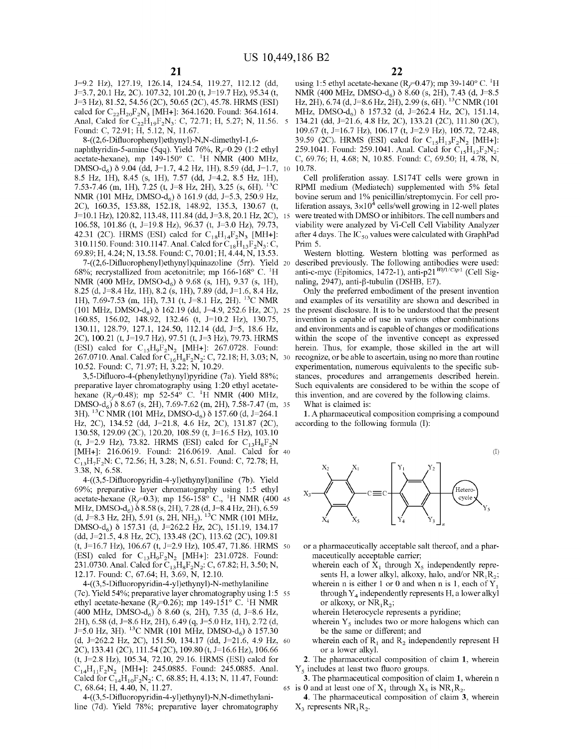*1=9.2* Hz), 127.19, 126.14, 124.54, 119.27, 112.12 (dd, *1=3.7,* 20.1 Hz, 2C). 107.32, 101.20 (t, 1=19.7 Hz), 95.34 (t, *1=3* Hz), 81.52, 54.56 (2C), 50.65 (2C), 45.78. HRMS (ESI) calcd for  $C_{22}H_{20}F_2N_3$  [MH+]: 364.1620. Found: 364.1614. Anal, Calcd for  $C_{22}H_{19}F_2N_3$ : C, 72.71; H, 5.27; N, 11.56. 5 Found: C, 72.91; H, 5.12, N, 11.67.

8-((2,6-Difluorophenyl)ethynyl)-N,N-dimethyl-1,6naphthyridin-5-amine (Sqq). Yield 76%, *Rf=0.29* (1:2 ethyl acetate-hexane), mp  $149-150^\circ$  C.  $^{1}$ H NMR (400 MHz, DMSO-d<sub>6</sub>)  $\delta$  9.04 (dd, J=1.7, 4.2 Hz, 1H), 8.59 (dd, J=1.7, 10 8.5 Hz, lH), 8.45 (s, lH), 7.57 (dd, *1=4.2,* 8.5 Hz, lH), 7.53-7.46 (m, 1H), 7.25 (t, J=8 Hz, 2H), 3.25 (s, 6H).  $^{13}$ C NMR (101 MHz, DMSO-d<sub>6</sub>)  $\delta$  161.9 (dd, J=5.3, 250.9 Hz, 2C), 160.35, 153.88, 152.18, 148.92, 135.3, 130.67 (t, 1=10.1 Hz), 120.82, 113.48, 111.84 (dd, 1=3.8, 20.1 Hz, 2C), 15 106.58, 101.86 (t, 1=19.8 Hz), 96.37 (t, *1=3.0* Hz), 79.73, 42.31 (2C). HRMS (ESI) calcd for  $C_{18}H_{14}F_2N_3$  [MH+]: 310.1150. Found: 310.1147. Anal. Calcd for  $C_{18}H_{13}F_2N_3$ : C, 69.89; H, 4.24; N, 13.58. Found: C, 70.01; H, 4.44, N, 13.53.

 $68\%$ ; recrystallized from acetonitrile; mp  $166-168^\circ$  C. <sup>1</sup>H NMR (400 MHz, DMSO-d<sub>6</sub>)  $\delta$  9.68 (s, 1H), 9.37 (s, 1H), 8.25 (d, 1=8.4 Hz, lH), 8.2 (s, lH), 7.89 (dd, *1=1.6,* 8.4 Hz, lH), 7.69-7.53 (m, lH), 7.31 (t, 1=8.1 Hz, 2H). 13C NMR (101 MHz, DMSO-d<sub>6</sub>) δ 162.19 (dd, J=4.9, 252.6 Hz, 2C), 25 160.85, 156.02, 148.92, 132.46 (t, 1=10.2 Hz), 130.75, 130.11, 128.79, 127.1, 124.50, 112.14 (dd, *1=5,* 18.6 Hz, 2C), 100.21 (t, 1=19.7 Hz), 97.51 (t, *1=3* Hz), 79.73. HRMS (ESI) calcd for  $C_{15}H_9F_2N_2$  [MH+]: 267.0728. Found: 267.0710. Anal. Calcd for  $C_{16}H_8F_2N_2$ : C, 72.18; H, 3.03; N, 30 10.52. Found: C, 71.97; H, 3.22; N, 10.29.

3,5-Difluoro-4-(phenylethynyl)pyridine (7a). Yield 88%; preparative layer chromatography using 1 :20 ethyl acetatehexane  $(R_f=0.48)$ ; mp 52-54° C. <sup>1</sup>H NMR (400 MHz,  $DMSO-d<sub>6</sub>$ )  $\delta$  8.67 (s, 2H), 7.69-7.62 (m, 2H), 7.58-7.47 (m, 35 3H). <sup>13</sup>C NMR (101 MHz, DMSO-d<sub>6</sub>)  $\delta$  157.60 (d, J=264.1 Hz, 2C), 134.52 (dd, 1=21.8, 4.6 Hz, 2C), 131.87 (2C), 130.58, 129.09 (2C), 120.20, 108.59 (t, 1=16.5 Hz), 103.10 (t, J=2.9 Hz), 73.82. HRMS (ESI) calcd for  $C_{13}H_8F_2N$ [MH+]: 216.0619. Found: 216.0619. Anal. Calcd for 40  $C_{13}H_7F_2N: C, 72.56; H, 3.28; N, 6.51.$  Found: C, 72.78; H, 3.38, N, 6.58.

4-((3,5-Difluoropyridin-4-yl)ethynyl)aniline (7b ). Yield 69%; preparative layer chromatography using 1:5 ethyl  $\frac{1}{2}$  acetate-hexane (R<sub>i</sub>=0.3); mp 156-158° C., <sup>1</sup>H NMR (400 45) MHz, DMSO- $d_6$ )  $\delta$  8.58 (s, 2H), 7.28 (d, J=8.4 Hz, 2H), 6.59 (d, J=8.3 Hz, 2H), 5.91 (s, 2H, NH<sub>2</sub>). <sup>13</sup>C NMR (101 MHz, DMSO-d<sub>6</sub>) δ 157.31 (d, J=262.2 Hz, 2C), 151.19, 134.17 (dd, *1=21.5,* 4.8 Hz, 2C), 133.48 (2C), 113.62 (2C), 109.81 (t, 1=16.7 Hz), 106.67 (t, *1=2.9* Hz), 105.47, 71.86. HRMS 50 (ESI) calcd for  $C_{13}H_9F_2N_2$  [MH+]: 231.0728. Found: 231.0730. Anal. Calcd for  $C_{13}H_8F_2N_2$ : C, 67.82; H, 3.50; N, 12.17. Found: C, 67.64; H, 3.69, N, 12.10.

4-((3,5-Difluoropyridin-4-yl)ethynyl)-N-methylaniline (7c). Yield 54%; preparative layer chromatography using 1:5 55 ethyl acetate-hexane  $(R_f=0.26)$ ; mp  $149-151^\circ$  C. <sup>1</sup>H NMR (400 MHz, DMSO-d<sub>6</sub>)  $\delta$  8.60 (s, 2H), 7.35 (d, J=8.6 Hz, 2H), 6.58 (d, 1=8.6 Hz, 2H), 6.49 (q, *1=5.0* Hz, lH), 2.72 (d, *J*=5.0 Hz, 3H). <sup>13</sup>C NMR (101 MHz, DMSO-d<sub>6</sub>)  $\delta$  157.30 (d, *1=262.2* Hz, 2C), 151.50, 134.17 (dd, *1=21.6,* 4.9 Hz, 60 2C), 133.41 (2C), 111.54 (2C), 109.80 (t, 1=16.6 Hz), 106.66 (t, 1=2.8 Hz), 105.34, 72.10, 29.16. HRMS (ESI) calcd for  $C_{14}H_{11}F_{2}N_{2}$  [MH+]: 245.0885. Found: 245.0885. Anal. Calcd for  $C_{14}H_{10}F_2N_2$ : C, 68.85; H, 4.13; N, 11.47, Found: C, 68.64; H, 4.40, N, 11.27.

4-((3,5-Difluoropyridin-4-yl)ethynyl)-N,N-dimethylaniline (7d). Yield 78%; preparative layer chromatography

using 1:5 ethyl acetate-hexane ( $R_f$ =0.47); mp 39-140° C.<sup>1</sup>H NMR (400 MHz, DMSO-d<sub>6</sub>)  $\delta$  8.60 (s, 2H), 7.43 (d, J=8.5 Hz, 2H), 6.74 (d, J=8.6 Hz, 2H), 2.99 (s, 6H). <sup>13</sup>C NMR (101 MHz, DMSO-d<sub>6</sub>)  $\delta$  157.32 (d, J=262.4 Hz, 2C), 151.14, 134.21 (dd, *1=21.6,* 4.8 Hz, 2C), 133.21 (2C), 111.80 (2C), 109.67 (t, 1=16.7 Hz), 106.17 (t, *1=2.9* Hz), 105.72, 72.48, 39.59 (2C). HRMS (ESI) calcd for  $C_{15}H_{13}F_{2}N_{2}$  [MH+]: 259.1041. Found: 259.1041. Anal. Calcd for  $C_{15}H_{12}F_2N_2$ : C, 69.76; H, 4.68; N, 10.85. Found: C, 69.50; H, 4.78, N, 10.78.

Cell proliferation assay. LS174T cells were grown in RPMI medium (Mediatech) supplemented with 5% fetal bovine serum and 1% penicillin/streptomycin. For cell proliferation assays,  $3\times10^4$  cells/well growing in 12-well plates were treated with DMSO or inhibitors. The cell numbers and viability were analyzed by Vi-Cell Cell Viability Analyzer after 4 days. The  $IC_{50}$  values were calculated with GraphPad Prim 5.

7-((2,6-Difluorophenyl)ethynyl)quinazoline (5rr). Yield 20 described previously. The following antibodies were used: Western blotting. Western blotting was performed as anti-c-myc (Epitomics, 1472-1), anti-p21<sup>Wifl/Cip1</sup> (Cell Signaling, 2947), anti- $\beta$ -tubulin (DSHB, E7).

> Only the preferred embodiment of the present invention and examples of its versatility are shown and described in the present disclosure. It is to be understood that the present invention is capable of use in various other combinations and environments and is capable of changes or modifications within the scope of the inventive concept as expressed herein. Thus, for example, those skilled in the art will recognize, or be able to ascertain, using no more than routine experimentation, numerous equivalents to the specific substances, procedures and arrangements described herein. Such equivalents are considered to be within the scope of this invention, and are covered by the following claims.

What is claimed is:

**1.** A pharmaceutical composition comprising a compound according to the following formula (I):





- or a pharmaceutically acceptable salt thereof, and a pharmaceutically acceptable carrier;
	- wherein each of  $X_1$  through  $X_5$  independently represents H, a lower alkyl, alkoxy, halo, and/or  $NR_1R_2$ ;
	- wherein n is either 1 or 0 and when n is 1, each of  $Y$ through  $Y_4$  independently represents H, a lower alkyl or alkoxy, or  $NR_1R_2$ ;
	- wherein Heterocycle represents a pyridine;
	- wherein  $Y_5$  includes two or more halogens which can be the same or different; and
	- wherein each of  $R_1$  and  $R_2$  independently represent H or a lower alkyl.

**2.** The pharmaceutical composition of claim **1,** wherein  $Y<sub>5</sub>$  includes at least two fluoro groups.

**3.** The pharmaceutical composition of claim **1,** wherein n 65 is 0 and at least one of  $X_1$  through  $X_5$  is  $NR_1R_2$ .

**4.** The pharmaceutical composition of claim **3,** wherein  $X_3$  represents  $NR_1R_2$ .